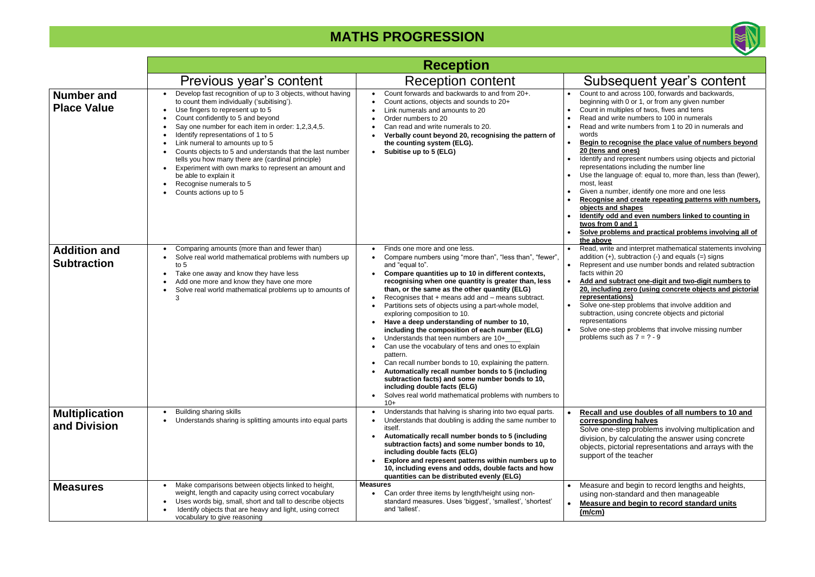#### • **Begin to recognise the place value of numbers beyond**  d ones)

represent numbers using objects and pictorial ions including the number line

guage of: equal to, more than, less than (fewer),

nber, identify one more and one less and create repeating patterns with numbers, **d** shapes **d** and even numbers linked to counting in **<u>t</u>** and 1

lems and practical problems involving all of

and interpret mathematical statements involving , subtraction (-) and equals (=) signs and use number bonds and related subtraction  $20<sub>2</sub>$ 

#### • **Add and subtract one-digit and two-digit numbers to <u>2010</u>** (using concrete objects and pictorial tions)

 $\overline{\text{top}}$  problems that involve addition and using concrete objects and pictorial ions

tep problems that involve missing number uch as  $7 = ?$  - 9

#### **Lackthary is use doubles of all numbers to 10 and ding halves**

step problems involving multiplication and calculating the answer using concrete torial representations and arrays with the the teacher

nd begin to record lengths and heights, standard and then manageable • **Measure and begin to record standard units** 

|                                           | <b>Reception</b>                                                                                                                                                                                                                                                                                                                                                                                                                                                                                                                                                                                                                         |                                                                                                                                                                                                                                                                                                                                                                                                                                                                                                                                                                                                                                                                                                                                                                                                                                                                                                                          |                                                                                                                                                                                                                                                                                                                                             |
|-------------------------------------------|------------------------------------------------------------------------------------------------------------------------------------------------------------------------------------------------------------------------------------------------------------------------------------------------------------------------------------------------------------------------------------------------------------------------------------------------------------------------------------------------------------------------------------------------------------------------------------------------------------------------------------------|--------------------------------------------------------------------------------------------------------------------------------------------------------------------------------------------------------------------------------------------------------------------------------------------------------------------------------------------------------------------------------------------------------------------------------------------------------------------------------------------------------------------------------------------------------------------------------------------------------------------------------------------------------------------------------------------------------------------------------------------------------------------------------------------------------------------------------------------------------------------------------------------------------------------------|---------------------------------------------------------------------------------------------------------------------------------------------------------------------------------------------------------------------------------------------------------------------------------------------------------------------------------------------|
|                                           | Previous year's content                                                                                                                                                                                                                                                                                                                                                                                                                                                                                                                                                                                                                  | <b>Reception content</b>                                                                                                                                                                                                                                                                                                                                                                                                                                                                                                                                                                                                                                                                                                                                                                                                                                                                                                 | <b>Subs</b>                                                                                                                                                                                                                                                                                                                                 |
| <b>Number and</b><br><b>Place Value</b>   | Develop fast recognition of up to 3 objects, without having<br>$\bullet$<br>to count them individually ('subitising').<br>Use fingers to represent up to 5<br>Count confidently to 5 and beyond<br>$\bullet$<br>Say one number for each item in order: 1,2,3,4,5.<br>$\bullet$<br>Identify representations of 1 to 5<br>$\bullet$<br>Link numeral to amounts up to 5<br>Counts objects to 5 and understands that the last number<br>$\bullet$<br>tells you how many there are (cardinal principle)<br>Experiment with own marks to represent an amount and<br>be able to explain it<br>Recognise numerals to 5<br>Counts actions up to 5 | Count forwards and backwards to and from 20+.<br>Count actions, objects and sounds to 20+<br>Link numerals and amounts to 20<br>Order numbers to 20<br>Can read and write numerals to 20.<br>Verbally count beyond 20, recognising the pattern of<br>the counting system (ELG).<br>Subitise up to 5 (ELG)                                                                                                                                                                                                                                                                                                                                                                                                                                                                                                                                                                                                                | Count to and<br>$\bullet$<br>beginning w<br>Count in mu<br>Read and w<br>Read and w<br>$\bullet$<br>words<br>Begin to red<br>20 (tens and<br>Identify and<br>representation<br>Use the lang<br>most, least<br>Given a num<br><b>Recognise</b><br>$\bullet$<br>objects and<br><b>Identify odd</b><br>twos from 0<br>Solve probl<br>the above |
| <b>Addition and</b><br><b>Subtraction</b> | Comparing amounts (more than and fewer than)<br>$\bullet$<br>Solve real world mathematical problems with numbers up<br>to $5$<br>Take one away and know they have less<br>$\bullet$<br>Add one more and know they have one more<br>$\bullet$<br>Solve real world mathematical problems up to amounts of<br>$\bullet$<br>3                                                                                                                                                                                                                                                                                                                | Finds one more and one less.<br>$\bullet$<br>Compare numbers using "more than", "less than", "fewer",<br>and "equal to".<br>Compare quantities up to 10 in different contexts,<br>recognising when one quantity is greater than, less<br>than, or the same as the other quantity (ELG)<br>Recognises that $+$ means add and $-$ means subtract.<br>Partitions sets of objects using a part-whole model,<br>exploring composition to 10.<br>Have a deep understanding of number to 10,<br>including the composition of each number (ELG)<br>Understands that teen numbers are 10+<br>Can use the vocabulary of tens and ones to explain<br>pattern.<br>Can recall number bonds to 10, explaining the pattern.<br>Automatically recall number bonds to 5 (including<br>subtraction facts) and some number bonds to 10,<br>including double facts (ELG)<br>Solves real world mathematical problems with numbers to<br>$10+$ | Read, write<br>addition $(+)$ ,<br>Represent a<br>$\bullet$<br>facts within 2<br>Add and su<br>$\bullet$<br>20, includin<br>representat<br>Solve one-st<br>$\bullet$<br>subtraction,<br>representation<br>Solve one-st<br>problems su                                                                                                       |
| <b>Multiplication</b><br>and Division     | Building sharing skills<br>Understands sharing is splitting amounts into equal parts                                                                                                                                                                                                                                                                                                                                                                                                                                                                                                                                                     | Understands that halving is sharing into two equal parts.<br>Understands that doubling is adding the same number to<br>itself.<br>Automatically recall number bonds to 5 (including<br>subtraction facts) and some number bonds to 10,<br>including double facts (ELG)<br>Explore and represent patterns within numbers up to<br>10, including evens and odds, double facts and how<br>quantities can be distributed evenly (ELG)                                                                                                                                                                                                                                                                                                                                                                                                                                                                                        | <b>Recall and</b><br>correspon<br>Solve one-<br>division, by<br>objects, pic<br>support of t                                                                                                                                                                                                                                                |
| <b>Measures</b>                           | Make comparisons between objects linked to height,<br>$\bullet$<br>weight, length and capacity using correct vocabulary<br>Uses words big, small, short and tall to describe objects<br>$\bullet$<br>Identify objects that are heavy and light, using correct<br>vocabulary to give reasoning                                                                                                                                                                                                                                                                                                                                            | <b>Measures</b><br>Can order three items by length/height using non-<br>standard measures. Uses 'biggest', 'smallest', 'shortest'<br>and 'tallest'.                                                                                                                                                                                                                                                                                                                                                                                                                                                                                                                                                                                                                                                                                                                                                                      | Measure ar<br>$\bullet$<br>using non-s<br>Measure a<br>$\bullet$<br><u>(m/cm)</u>                                                                                                                                                                                                                                                           |



# equent year's content

d across 100, forwards and backwards, ith 0 or 1, or from any given number iltiples of twos, fives and tens rite numbers to 100 in numerals rite numbers from 1 to 20 in numerals and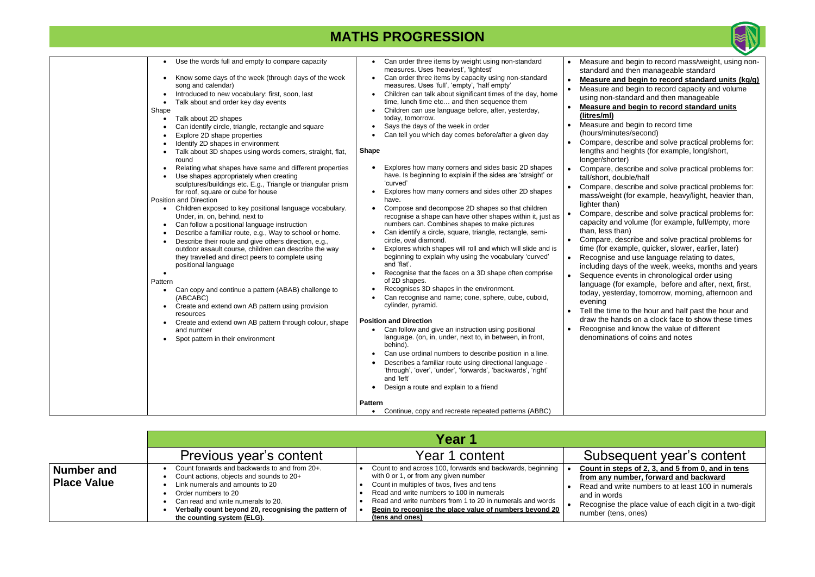| Use the words full and empty to compare capacity<br>Know some days of the week (through days of the week<br>song and calendar)<br>Introduced to new vocabulary: first, soon, last<br>Talk about and order key day events<br>Shape<br>Talk about 2D shapes<br>Can identify circle, triangle, rectangle and square<br>Explore 2D shape properties<br>Identify 2D shapes in environment<br>Talk about 3D shapes using words corners, straight, flat,<br>round<br>Relating what shapes have same and different properties<br>Use shapes appropriately when creating<br>sculptures/buildings etc. E.g., Triangle or triangular prism<br>for roof, square or cube for house<br>Position and Direction<br>Children exposed to key positional language vocabulary.<br>Under, in, on, behind, next to<br>Can follow a positional language instruction<br>Describe a familiar route, e.g., Way to school or home.<br>Describe their route and give others direction, e.g.,<br>outdoor assault course, children can describe the way<br>they travelled and direct peers to complete using<br>positional language<br>Pattern<br>Can copy and continue a pattern (ABAB) challenge to<br>(ABCABC)<br>Create and extend own AB pattern using provision<br>resources<br>Create and extend own AB pattern through colour, shape<br>and number<br>Spot pattern in their environment | Can order three items by weight using non-standard<br>$\bullet$<br>measures. Uses 'heaviest', 'lightest'<br>Can order three items by capacity using non-standard<br>measures. Uses 'full', 'empty', 'half empty'<br>Children can talk about significant times of the day, home<br>$\bullet$<br>time, lunch time etc and then sequence them<br>Children can use language before, after, yesterday,<br>$\bullet$<br>today, tomorrow.<br>Says the days of the week in order<br>Can tell you which day comes before/after a given day<br><b>Shape</b><br>Explores how many corners and sides basic 2D shapes<br>have. Is beginning to explain if the sides are 'straight' or<br>'curved'<br>Explores how many corners and sides other 2D shapes<br>have.<br>Compose and decompose 2D shapes so that children<br>recognise a shape can have other shapes within it, just as<br>numbers can. Combines shapes to make pictures<br>Can identify a circle, square, triangle, rectangle, semi-<br>circle, oval diamond.<br>Explores which shapes will roll and which will slide and is<br>beginning to explain why using the vocabulary 'curved'<br>and 'flat'.<br>Recognise that the faces on a 3D shape often comprise<br>of 2D shapes.<br>Recognises 3D shapes in the environment.<br>Can recognise and name; cone, sphere, cube, cuboid,<br>cylinder, pyramid.<br><b>Position and Direction</b><br>Can follow and give an instruction using positional<br>language. (on, in, under, next to, in between, in front,<br>behind).<br>Can use ordinal numbers to describe position in a line.<br>Describes a familiar route using directional language -<br>'through', 'over', 'under', 'forwards', 'backwards', 'right'<br>and 'left'<br>Design a route and explain to a friend<br>٠<br><b>Pattern</b> | $\bullet$<br>$\bullet$<br>$\bullet$<br>$\bullet$ | Measure and<br>standard and<br>Measure an<br>Measure and<br>using non-st<br>Measure an<br>(litres/ml)<br>Measure and<br>(hours/minut<br>Compare, de<br>lengths and<br>longer/short<br>Compare, de<br>tall/short, do<br>Compare, de<br>mass/weight<br>lighter than)<br>Compare, de<br>capacity and<br>than, less the<br>Compare, de<br>time (for exa<br>Recognise a<br>including day<br>Sequence e<br>language (fo<br>today, yeste<br>evening<br>Tell the time<br>draw the har<br>Recognise a<br>denominatio |
|-------------------------------------------------------------------------------------------------------------------------------------------------------------------------------------------------------------------------------------------------------------------------------------------------------------------------------------------------------------------------------------------------------------------------------------------------------------------------------------------------------------------------------------------------------------------------------------------------------------------------------------------------------------------------------------------------------------------------------------------------------------------------------------------------------------------------------------------------------------------------------------------------------------------------------------------------------------------------------------------------------------------------------------------------------------------------------------------------------------------------------------------------------------------------------------------------------------------------------------------------------------------------------------------------------------------------------------------------------------------|-----------------------------------------------------------------------------------------------------------------------------------------------------------------------------------------------------------------------------------------------------------------------------------------------------------------------------------------------------------------------------------------------------------------------------------------------------------------------------------------------------------------------------------------------------------------------------------------------------------------------------------------------------------------------------------------------------------------------------------------------------------------------------------------------------------------------------------------------------------------------------------------------------------------------------------------------------------------------------------------------------------------------------------------------------------------------------------------------------------------------------------------------------------------------------------------------------------------------------------------------------------------------------------------------------------------------------------------------------------------------------------------------------------------------------------------------------------------------------------------------------------------------------------------------------------------------------------------------------------------------------------------------------------------------------------------------------------------------------------------------------------------------------------------------|--------------------------------------------------|-------------------------------------------------------------------------------------------------------------------------------------------------------------------------------------------------------------------------------------------------------------------------------------------------------------------------------------------------------------------------------------------------------------------------------------------------------------------------------------------------------------|
|                                                                                                                                                                                                                                                                                                                                                                                                                                                                                                                                                                                                                                                                                                                                                                                                                                                                                                                                                                                                                                                                                                                                                                                                                                                                                                                                                                   | Continue, copy and recreate repeated patterns (ABBC)<br>$\bullet$                                                                                                                                                                                                                                                                                                                                                                                                                                                                                                                                                                                                                                                                                                                                                                                                                                                                                                                                                                                                                                                                                                                                                                                                                                                                                                                                                                                                                                                                                                                                                                                                                                                                                                                             |                                                  |                                                                                                                                                                                                                                                                                                                                                                                                                                                                                                             |
|                                                                                                                                                                                                                                                                                                                                                                                                                                                                                                                                                                                                                                                                                                                                                                                                                                                                                                                                                                                                                                                                                                                                                                                                                                                                                                                                                                   |                                                                                                                                                                                                                                                                                                                                                                                                                                                                                                                                                                                                                                                                                                                                                                                                                                                                                                                                                                                                                                                                                                                                                                                                                                                                                                                                                                                                                                                                                                                                                                                                                                                                                                                                                                                               |                                                  |                                                                                                                                                                                                                                                                                                                                                                                                                                                                                                             |

• **Count in steps of 2, 3, and 5 from 0, and in tens from any number, forward and backward** write numbers to at least 100 in numerals

ds  $\theta$  the place value of each digit in a two-digit

ns, ones)

### • **Measure and begin to record standard units**

nd begin to record time

utes/second)

describe and solve practical problems for: d heights (for example, long/short, rter)

describe and solve practical problems for: double/half

describe and solve practical problems for: Int (for example, heavy/light, heavier than,

describe and solve practical problems for: nd volume (for example, full/empty, more than)

describe and solve practical problems for xample, quicker, slower, earlier, later)

and use language relating to dates,

lays of the week, weeks, months and years events in chronological order using

for example, before and after, next, first, terday, tomorrow, morning, afternoon and

e to the hour and half past the hour and ands on a clock face to show these times and know the value of different ions of coins and notes

### equent year's content

|                                         |                                                                                                                                                                                                                                                                                 | Year 1                                                                                                                                                                                                                                                                                                                                    |                                                                                         |
|-----------------------------------------|---------------------------------------------------------------------------------------------------------------------------------------------------------------------------------------------------------------------------------------------------------------------------------|-------------------------------------------------------------------------------------------------------------------------------------------------------------------------------------------------------------------------------------------------------------------------------------------------------------------------------------------|-----------------------------------------------------------------------------------------|
|                                         | Previous year's content                                                                                                                                                                                                                                                         | Year 1 content                                                                                                                                                                                                                                                                                                                            | <b>Subs</b>                                                                             |
| <b>Number and</b><br><b>Place Value</b> | Count forwards and backwards to and from 20+.<br>Count actions, objects and sounds to 20+<br>Link numerals and amounts to 20<br>Order numbers to 20<br>Can read and write numerals to 20.<br>Verbally count beyond 20, recognising the pattern of<br>the counting system (ELG). | Count to and across 100, forwards and backwards, beginning<br>with 0 or 1, or from any given number<br>Count in multiples of twos, fives and tens<br>Read and write numbers to 100 in numerals<br>Read and write numbers from 1 to 20 in numerals and words<br>Begin to recognise the place value of numbers beyond 20<br>(tens and ones) | <b>Count in s</b><br>from any r<br>Read and v<br>and in word<br>Recognise<br>number (te |



ind begin to record mass/weight, using nonnd then manageable standard

**has begin to record standard units (kg/g)** nd begin to record capacity and volume standard and then manageable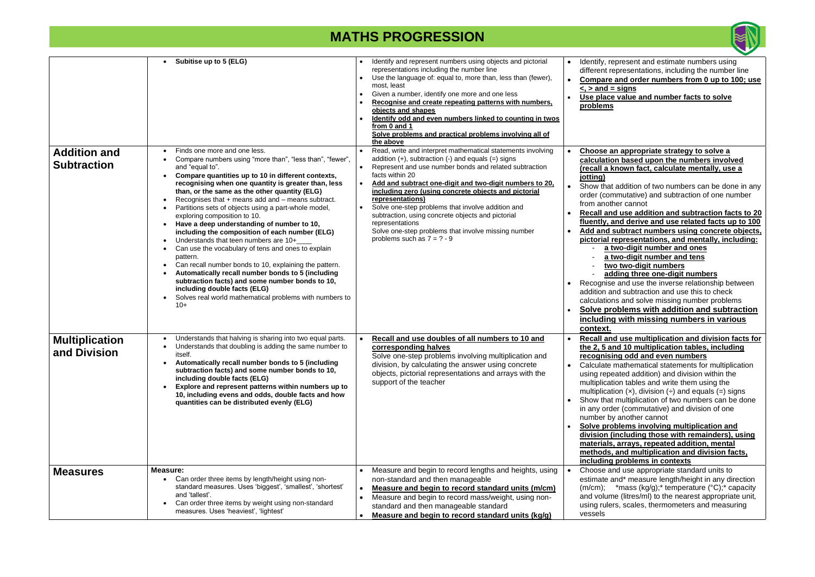epresent and estimate numbers using epresentations, including the number line and order numbers from 0 up to 100; use **<, > and = signs**

**value and number facts to solve** 

• **Recall and use addition and subtraction facts to 20**  and derive and use related facts up to 100 • **Add and subtract numbers using concrete objects, pictorial representations, and mentally, including:** - **a two-digit number and ones** wo-digit number and tens

**o** two-digit numbers

ding three one-digit numbers

and use the inverse relationship between nd subtraction and use this to check and solve missing number problems • **Solve problems with addition and subtraction** 

• **Recall and use multiplication and division facts for the 2, 5 and 10 multiplication tables, including ng odd and even numbers** 

mathematical statements for multiplication eated addition) and division within the ion tables and write them using the ion  $(x)$ , division  $(+)$  and equals  $(=)$  signs multiplication of two numbers can be done er (commutative) and division of one another cannot

**blems involving multiplication and division (including those with remainders), using materials, arrays, repeated addition, mental**  and multiplication and division facts, **problems in contexts** 

nd use appropriate standard units to and\* measure length/height in any direction \*mass (kg/g); \* temperature ( $°C$ ); \* capacity ne (litres/ml) to the nearest appropriate unit, rs, scales, thermometers and measuring

• **Choose an appropriate strategy to solve a calculation based upon the numbers involved (recall a known fact, calculate mentally, use a** 

addition of two numbers can be done in any nmutative) and subtraction of one number her cannot

|                                           | Subitise up to 5 (ELG)                                                                                                                                                                                                                                                                                                                                                                                                                                                                                                                                                                                                                                                                                                                                                                                                                                                                                                                | Identify and represent numbers using objects and pictorial<br>representations including the number line<br>Use the language of: equal to, more than, less than (fewer),<br>most, least<br>Given a number, identify one more and one less<br>Recognise and create repeating patterns with numbers.<br>objects and shapes<br>Identify odd and even numbers linked to counting in twos<br>from 0 and 1<br>Solve problems and practical problems involving all of<br>the above                                                                                       | Identify, re<br>different re<br>Compare<br><u>&lt;, &gt; and =</u><br>Use place<br>problems                                                                                                                                                                                                  |
|-------------------------------------------|---------------------------------------------------------------------------------------------------------------------------------------------------------------------------------------------------------------------------------------------------------------------------------------------------------------------------------------------------------------------------------------------------------------------------------------------------------------------------------------------------------------------------------------------------------------------------------------------------------------------------------------------------------------------------------------------------------------------------------------------------------------------------------------------------------------------------------------------------------------------------------------------------------------------------------------|------------------------------------------------------------------------------------------------------------------------------------------------------------------------------------------------------------------------------------------------------------------------------------------------------------------------------------------------------------------------------------------------------------------------------------------------------------------------------------------------------------------------------------------------------------------|----------------------------------------------------------------------------------------------------------------------------------------------------------------------------------------------------------------------------------------------------------------------------------------------|
| <b>Addition and</b><br><b>Subtraction</b> | Finds one more and one less.<br>$\bullet$<br>Compare numbers using "more than", "less than", "fewer",<br>and "equal to".<br>Compare quantities up to 10 in different contexts,<br>recognising when one quantity is greater than, less<br>than, or the same as the other quantity (ELG)<br>Recognises that $+$ means add and $-$ means subtract.<br>Partitions sets of objects using a part-whole model,<br>exploring composition to 10.<br>Have a deep understanding of number to 10,<br>including the composition of each number (ELG)<br>Understands that teen numbers are 10+<br>Can use the vocabulary of tens and ones to explain<br>$\bullet$<br>pattern.<br>Can recall number bonds to 10, explaining the pattern.<br>Automatically recall number bonds to 5 (including<br>subtraction facts) and some number bonds to 10,<br>including double facts (ELG)<br>Solves real world mathematical problems with numbers to<br>$10+$ | Read, write and interpret mathematical statements involving<br>addition $(+)$ , subtraction $(-)$ and equals $(=)$ signs<br>Represent and use number bonds and related subtraction<br>facts within 20<br>Add and subtract one-digit and two-digit numbers to 20,<br>including zero (using concrete objects and pictorial<br>representations)<br>Solve one-step problems that involve addition and<br>subtraction, using concrete objects and pictorial<br>representations<br>Solve one-step problems that involve missing number<br>problems such as $7 = ? - 9$ | Choose a<br>calculatio<br>(recall a k<br>jotting)<br>Show that<br>order (com<br>from anoth<br><b>Recall and</b><br>fluently, a<br>Add and s<br><u>pictorial r</u><br><u>a ty</u><br><u>a ty</u><br>tw<br>ad<br>Recognise<br>addition ar<br>calculation<br>Solve pro<br>including<br>context. |
| <b>Multiplication</b><br>and Division     | Understands that halving is sharing into two equal parts.<br>$\bullet$<br>Understands that doubling is adding the same number to<br>itself.<br>Automatically recall number bonds to 5 (including<br>subtraction facts) and some number bonds to 10,<br>including double facts (ELG)<br>Explore and represent patterns within numbers up to<br>10, including evens and odds, double facts and how<br>quantities can be distributed evenly (ELG)                                                                                                                                                                                                                                                                                                                                                                                                                                                                                        | Recall and use doubles of all numbers to 10 and<br>corresponding halves<br>Solve one-step problems involving multiplication and<br>division, by calculating the answer using concrete<br>objects, pictorial representations and arrays with the<br>support of the teacher                                                                                                                                                                                                                                                                                        | <b>Recall and</b><br>the $2, 5$ ar<br><u>recognisiı</u><br>Calculate i<br>using repe<br>multiplicati<br>multiplicati<br>Show that<br>in any orde<br>number by<br>Solve pro<br>division (i<br>materials,<br>methods,<br>including                                                             |
| <b>Measures</b>                           | Measure:<br>Can order three items by length/height using non-<br>$\bullet$<br>standard measures. Uses 'biggest', 'smallest', 'shortest'<br>and 'tallest'.<br>Can order three items by weight using non-standard<br>$\bullet$<br>measures. Uses 'heaviest', 'lightest'                                                                                                                                                                                                                                                                                                                                                                                                                                                                                                                                                                                                                                                                 | Measure and begin to record lengths and heights, using<br>non-standard and then manageable<br>Measure and begin to record standard units (m/cm)<br>$\bullet$<br>Measure and begin to record mass/weight, using non-<br>standard and then manageable standard<br>Measure and begin to record standard units (kg/g)                                                                                                                                                                                                                                                | Choose ar<br>estimate a<br>(m/cm);<br>and volum<br>using ruler<br>vessels                                                                                                                                                                                                                    |



### **including with missing numbers in various**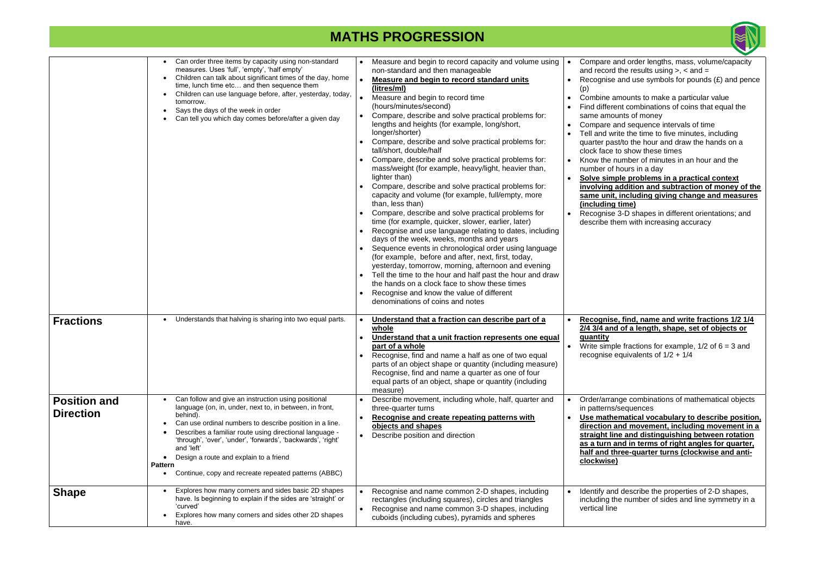|                                         | Can order three items by capacity using non-standard<br>measures. Uses 'full', 'empty', 'half empty'<br>Children can talk about significant times of the day, home<br>time, lunch time etc and then sequence them<br>Children can use language before, after, yesterday, today,<br>tomorrow.<br>Says the days of the week in order<br>Can tell you which day comes before/after a given day                                                                                  | Measure and begin to record capacity and volume using<br>non-standard and then manageable<br>Measure and begin to record standard units<br>(litres/ml)<br>Measure and begin to record time<br>(hours/minutes/second)<br>Compare, describe and solve practical problems for:<br>lengths and heights (for example, long/short,<br>longer/shorter)<br>Compare, describe and solve practical problems for:<br>tall/short, double/half<br>Compare, describe and solve practical problems for:<br>mass/weight (for example, heavy/light, heavier than,<br>lighter than)<br>Compare, describe and solve practical problems for:<br>capacity and volume (for example, full/empty, more<br>than, less than)<br>Compare, describe and solve practical problems for<br>time (for example, quicker, slower, earlier, later)<br>Recognise and use language relating to dates, including<br>days of the week, weeks, months and years<br>Sequence events in chronological order using language<br>(for example, before and after, next, first, today,<br>yesterday, tomorrow, morning, afternoon and evening<br>Tell the time to the hour and half past the hour and draw<br>the hands on a clock face to show these times<br>Recognise and know the value of different<br>denominations of coins and notes | Compare and order lengths, mass, volume/capacity<br>and record the results using $> 0$ , $<$ and $=$<br>Recognise and use symbols for pounds $(E)$ and pence<br>(p)<br>Combine amounts to make a particular value<br>$\bullet$<br>Find different combinations of coins that equal the<br>same amounts of money<br>Compare and sequence intervals of time<br>$\bullet$<br>Tell and write the time to five minutes, including<br>$\bullet$<br>quarter past/to the hour and draw the hands on a<br>clock face to show these times<br>Know the number of minutes in an hour and the<br>$\bullet$<br>number of hours in a day<br>Solve simple problems in a practical context<br>$\bullet$<br>involving addition and subtraction of money of the<br>same unit, including giving change and measures<br>(including time)<br>Recognise 3-D shapes in different orientations; and<br>$\bullet$<br>describe them with increasing accuracy |
|-----------------------------------------|------------------------------------------------------------------------------------------------------------------------------------------------------------------------------------------------------------------------------------------------------------------------------------------------------------------------------------------------------------------------------------------------------------------------------------------------------------------------------|-----------------------------------------------------------------------------------------------------------------------------------------------------------------------------------------------------------------------------------------------------------------------------------------------------------------------------------------------------------------------------------------------------------------------------------------------------------------------------------------------------------------------------------------------------------------------------------------------------------------------------------------------------------------------------------------------------------------------------------------------------------------------------------------------------------------------------------------------------------------------------------------------------------------------------------------------------------------------------------------------------------------------------------------------------------------------------------------------------------------------------------------------------------------------------------------------------------------------------------------------------------------------------------------------|----------------------------------------------------------------------------------------------------------------------------------------------------------------------------------------------------------------------------------------------------------------------------------------------------------------------------------------------------------------------------------------------------------------------------------------------------------------------------------------------------------------------------------------------------------------------------------------------------------------------------------------------------------------------------------------------------------------------------------------------------------------------------------------------------------------------------------------------------------------------------------------------------------------------------------|
| <b>Fractions</b>                        | Understands that halving is sharing into two equal parts.                                                                                                                                                                                                                                                                                                                                                                                                                    | Understand that a fraction can describe part of a<br>whole<br>Understand that a unit fraction represents one equal<br>part of a whole<br>Recognise, find and name a half as one of two equal<br>parts of an object shape or quantity (including measure)<br>Recognise, find and name a quarter as one of four<br>equal parts of an object, shape or quantity (including<br>measure)                                                                                                                                                                                                                                                                                                                                                                                                                                                                                                                                                                                                                                                                                                                                                                                                                                                                                                           | Recognise, find, name and write fractions 1/2 1/4<br>$\bullet$<br>2/4 3/4 and of a length, shape, set of objects or<br><b>quantity</b><br>Write simple fractions for example, $1/2$ of $6 = 3$ and<br>recognise equivalents of $1/2 + 1/4$                                                                                                                                                                                                                                                                                                                                                                                                                                                                                                                                                                                                                                                                                       |
| <b>Position and</b><br><b>Direction</b> | Can follow and give an instruction using positional<br>language (on, in, under, next to, in between, in front,<br>behind).<br>Can use ordinal numbers to describe position in a line.<br>Describes a familiar route using directional language -<br>'through', 'over', 'under', 'forwards', 'backwards', 'right'<br>and 'left'<br>Design a route and explain to a friend<br>$\bullet$<br><b>Pattern</b><br>Continue, copy and recreate repeated patterns (ABBC)<br>$\bullet$ | Describe movement, including whole, half, quarter and<br>three-quarter turns<br>Recognise and create repeating patterns with<br>objects and shapes<br>Describe position and direction                                                                                                                                                                                                                                                                                                                                                                                                                                                                                                                                                                                                                                                                                                                                                                                                                                                                                                                                                                                                                                                                                                         | Order/arrange combinations of mathematical objects<br>in patterns/sequences<br>Use mathematical vocabulary to describe position,<br>$\bullet$<br>direction and movement, including movement in a<br>straight line and distinguishing between rotation<br>as a turn and in terms of right angles for quarter,<br>half and three-quarter turns (clockwise and anti-<br>clockwise)                                                                                                                                                                                                                                                                                                                                                                                                                                                                                                                                                  |
| <b>Shape</b>                            | Explores how many corners and sides basic 2D shapes<br>have. Is beginning to explain if the sides are 'straight' or<br>'curved'<br>Explores how many corners and sides other 2D shapes<br>have.                                                                                                                                                                                                                                                                              | Recognise and name common 2-D shapes, including<br>rectangles (including squares), circles and triangles<br>Recognise and name common 3-D shapes, including<br>cuboids (including cubes), pyramids and spheres                                                                                                                                                                                                                                                                                                                                                                                                                                                                                                                                                                                                                                                                                                                                                                                                                                                                                                                                                                                                                                                                                | Identify and describe the properties of 2-D shapes,<br>including the number of sides and line symmetry in a<br>vertical line                                                                                                                                                                                                                                                                                                                                                                                                                                                                                                                                                                                                                                                                                                                                                                                                     |

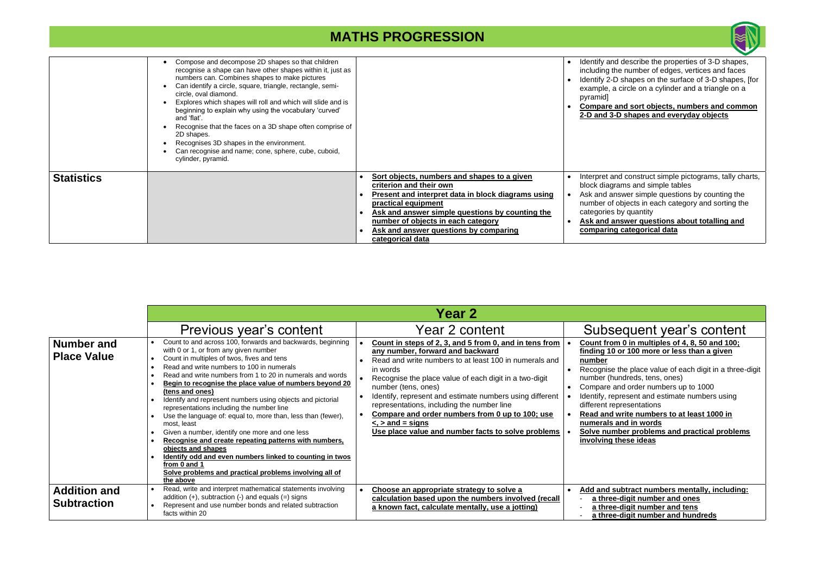#### • **Compare and sort objects, numbers and common 2** Shapes and everyday objects

nd construct simple pictograms, tally charts, rams and simple tables

her simple questions by counting the objects in each category and sorting the by quantity

|                   | Compose and decompose 2D shapes so that children<br>recognise a shape can have other shapes within it, just as<br>numbers can. Combines shapes to make pictures<br>Can identify a circle, square, triangle, rectangle, semi-<br>circle, oval diamond.<br>Explores which shapes will roll and which will slide and is<br>beginning to explain why using the vocabulary 'curved'<br>and 'flat'.<br>Recognise that the faces on a 3D shape often comprise of<br>2D shapes.<br>Recognises 3D shapes in the environment.<br>Can recognise and name; cone, sphere, cube, cuboid,<br>cylinder, pyramid. |                                                                                                                                                                                                                                                                                                           | Identify and<br>including th<br>Identify 2-D<br>example, a<br>pyramid<br>Compare a<br>2-D and 3- |
|-------------------|--------------------------------------------------------------------------------------------------------------------------------------------------------------------------------------------------------------------------------------------------------------------------------------------------------------------------------------------------------------------------------------------------------------------------------------------------------------------------------------------------------------------------------------------------------------------------------------------------|-----------------------------------------------------------------------------------------------------------------------------------------------------------------------------------------------------------------------------------------------------------------------------------------------------------|--------------------------------------------------------------------------------------------------|
| <b>Statistics</b> |                                                                                                                                                                                                                                                                                                                                                                                                                                                                                                                                                                                                  | Sort objects, numbers and shapes to a given<br>criterion and their own<br>Present and interpret data in block diagrams using<br>practical equipment<br>Ask and answer simple questions by counting the<br>number of objects in each category<br>Ask and answer questions by comparing<br>categorical data | Interpret ar<br>block diagr<br>Ask and an<br>number of<br>categories<br>Ask and a<br>comparing   |

**nswer questions about totalling and comparing categorical data**

### equent year's content • **Count from 0 in multiples of 4, 8, 50 and 100; finding 10 or 100 more or less than a given**

the place value of each digit in a three-digit undreds, tens, ones) and order numbers up to 1000 epresent and estimate numbers using epresentations **write numbers to at least 1000 in** and in words • **Solve number problems and practical problems involving these ideas**

**<u>ubtract numbers mentally, including:</u> a**-digit number and ones **a**-digit number and tens **a**-digit number and hundreds

|                                           |                                                                                                                                                                                                                                                                                                                                                                                                                                                                                                                                                                                                                                                                                                                                                                                                                         | <b>Year 2</b>                                                                                                                                                                                                                                                                                                                                                                                                                                                                                   |                                                                                                                                                                           |
|-------------------------------------------|-------------------------------------------------------------------------------------------------------------------------------------------------------------------------------------------------------------------------------------------------------------------------------------------------------------------------------------------------------------------------------------------------------------------------------------------------------------------------------------------------------------------------------------------------------------------------------------------------------------------------------------------------------------------------------------------------------------------------------------------------------------------------------------------------------------------------|-------------------------------------------------------------------------------------------------------------------------------------------------------------------------------------------------------------------------------------------------------------------------------------------------------------------------------------------------------------------------------------------------------------------------------------------------------------------------------------------------|---------------------------------------------------------------------------------------------------------------------------------------------------------------------------|
|                                           | Previous year's content                                                                                                                                                                                                                                                                                                                                                                                                                                                                                                                                                                                                                                                                                                                                                                                                 | Year 2 content                                                                                                                                                                                                                                                                                                                                                                                                                                                                                  | Subs                                                                                                                                                                      |
| <b>Number and</b><br><b>Place Value</b>   | Count to and across 100, forwards and backwards, beginning<br>with 0 or 1, or from any given number<br>Count in multiples of twos, fives and tens<br>Read and write numbers to 100 in numerals<br>Read and write numbers from 1 to 20 in numerals and words<br>Begin to recognise the place value of numbers beyond 20<br>(tens and ones)<br>Identify and represent numbers using objects and pictorial<br>representations including the number line<br>Use the language of: equal to, more than, less than (fewer),<br>most, least<br>Given a number, identify one more and one less<br>Recognise and create repeating patterns with numbers,<br>objects and shapes<br>Identify odd and even numbers linked to counting in twos<br>from 0 and 1<br>Solve problems and practical problems involving all of<br>the above | Count in steps of 2, 3, and 5 from 0, and in tens from<br>any number, forward and backward<br>Read and write numbers to at least 100 in numerals and<br>in words<br>Recognise the place value of each digit in a two-digit<br>number (tens, ones)<br>Identify, represent and estimate numbers using different<br>representations, including the number line<br>Compare and order numbers from 0 up to 100; use<br>$\le$ , $>$ and = signs<br>Use place value and number facts to solve problems | <b>Count from</b><br>finding 10<br>number<br>Recognise<br>number (h<br>Compare a<br>Identify, re<br>different re<br><b>Read and</b><br>numerals<br>Solve num<br>involving |
| <b>Addition and</b><br><b>Subtraction</b> | Read, write and interpret mathematical statements involving<br>addition $(+)$ , subtraction $(-)$ and equals $(=)$ signs<br>Represent and use number bonds and related subtraction<br>facts within 20                                                                                                                                                                                                                                                                                                                                                                                                                                                                                                                                                                                                                   | Choose an appropriate strategy to solve a<br>calculation based upon the numbers involved (recall<br>a known fact, calculate mentally, use a jotting)                                                                                                                                                                                                                                                                                                                                            | Add and s<br>a three<br>a three<br>a three                                                                                                                                |



d describe the properties of 3-D shapes, ne number of edges, vertices and faces If also shapes on the surface of 3-D shapes, [for circle on a cylinder and a triangle on a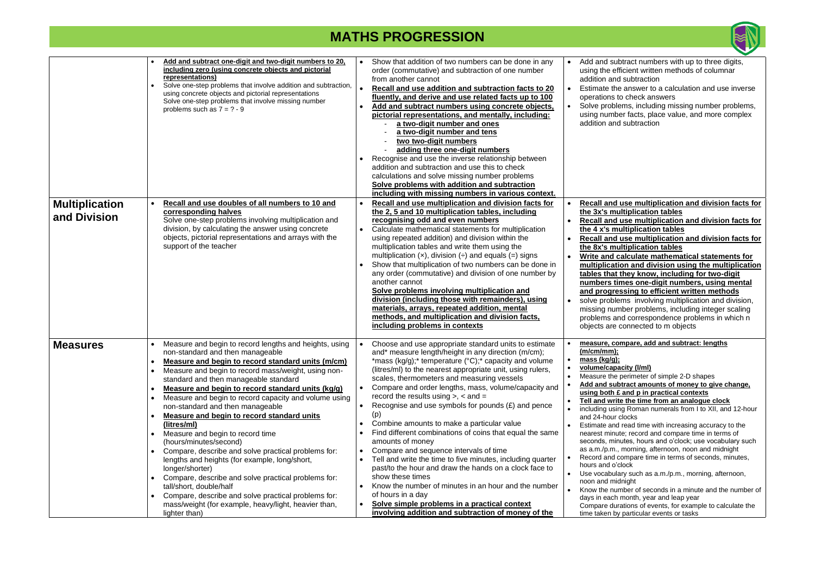**I** calculate mathematical statements for **multiplication and division using the multiplication tables that they know, including for two-digit**  times one-digit numbers, using mental **and progressing to efficient written methods**

lems involving multiplication and division, umber problems, including integer scaling and correspondence problems in which n e connected to m objects

• **Recall and use multiplication and division facts for the 3x's multiplication tables**

| pictorial representations, and mentally, including:<br>a two-digit number and ones<br>a two-digit number and tens<br>two two-digit numbers<br>adding three one-digit numbers<br>Recognise and use the inverse relationship between<br>addition and subtraction and use this to check<br>calculations and solve missing number problems<br>Solve problems with addition and subtraction<br>including with missing numbers in various context.<br>Recall and use multiplication and division facts for<br>the 2, 5 and 10 multiplication tables, including<br>recognising odd and even numbers<br>Calculate mathematical statements for multiplication<br>using repeated addition) and division within the<br>multiplication tables and write them using the<br>multiplication $(x)$ , division $\left(\div\right)$ and equals $\left(\equiv\right)$ signs<br>Show that multiplication of two numbers can be done in<br>any order (commutative) and division of one number by<br>another cannot<br>Solve problems involving multiplication and<br>division (including those with remainders), using<br>materials, arrays, repeated addition, mental<br>methods, and multiplication and division facts,<br>including problems in contexts |                                                                                                        | operations to<br>Solve proble<br>using numbe<br>addition and<br>Recall and u<br>the 3x's mul<br>Recall and u<br>the 4 x's mu<br>Recall and u<br>the 8x's mul<br><b>Write and ca</b><br>multiplicatio<br>tables that t<br>numbers tin<br>and progres<br>solve probler<br>missing num<br>problems an<br>objects are c                                                              |
|----------------------------------------------------------------------------------------------------------------------------------------------------------------------------------------------------------------------------------------------------------------------------------------------------------------------------------------------------------------------------------------------------------------------------------------------------------------------------------------------------------------------------------------------------------------------------------------------------------------------------------------------------------------------------------------------------------------------------------------------------------------------------------------------------------------------------------------------------------------------------------------------------------------------------------------------------------------------------------------------------------------------------------------------------------------------------------------------------------------------------------------------------------------------------------------------------------------------------------------|--------------------------------------------------------------------------------------------------------|----------------------------------------------------------------------------------------------------------------------------------------------------------------------------------------------------------------------------------------------------------------------------------------------------------------------------------------------------------------------------------|
| Choose and use appropriate standard units to estimate<br>and* measure length/height in any direction (m/cm);<br>*mass ( $kg/g$ );* temperature ( $°C$ );* capacity and volume<br>(litres/ml) to the nearest appropriate unit, using rulers,<br>scales, thermometers and measuring vessels<br>Compare and order lengths, mass, volume/capacity and<br>record the results using $>$ , $<$ and $=$<br>Recognise and use symbols for pounds $(E)$ and pence<br>(p)<br>Combine amounts to make a particular value<br>Find different combinations of coins that equal the same<br>amounts of money<br>Compare and sequence intervals of time<br>Tell and write the time to five minutes, including quarter<br>past/to the hour and draw the hands on a clock face to<br>show these times<br>Know the number of minutes in an hour and the number<br>of hours in a day<br>Solve simple problems in a practical context                                                                                                                                                                                                                                                                                                                        |                                                                                                        | measure, cor<br>(m/cm/mm);<br>mass (kg/g);<br><u>volume/capa</u><br>Measure the p<br><b>Add and subt</b><br>using both £<br><b>Tell and write</b><br>including using<br>and 24-hour c<br>Estimate and<br>nearest minute<br>seconds, minu<br>as $a.m./p.m.,$<br>Record and co<br>hours and o'cl<br>Use vocabula<br>noon and mid<br>Know the num<br>days in each r<br>Compare dura |
|                                                                                                                                                                                                                                                                                                                                                                                                                                                                                                                                                                                                                                                                                                                                                                                                                                                                                                                                                                                                                                                                                                                                                                                                                                        | Add and subtract numbers using concrete objects,<br>involving addition and subtraction of money of the | fluently, and derive and use related facts up to 100                                                                                                                                                                                                                                                                                                                             |



ubtract numbers with up to three digits, efficient written methods of columnar nd subtraction

he answer to a calculation and use inverse to check answers

blems, including missing number problems, nber facts, place value, and more complex

nd subtraction

• **Recall and use multiplication and division facts for the 4 x's multiplication tables**

**ubtract amounts of money to give change, using both £ and p in practical contexts**

rite the time from an analogue clock

 $\frac{1}{2}$  Roman numerals from I to XII, and 12-hour ar clocks

nd read time with increasing accuracy to the nute; record and compare time in terms of ninutes, hours and o'clock; use vocabulary such n., morning, afternoon, noon and midnight

I compare time in terms of seconds, minutes, o'clock

ulary such as a.m./p.m., morning, afternoon, nidnight

umber of seconds in a minute and the number of ch month, year and leap year

lurations of events, for example to calculate the by particular events or tasks

• **Recall and use multiplication and division facts for the 8x's multiplication tables**

#### • **measure, compare, add and subtract: lengths**

**pacity (I/ml)** 

e perimeter of simple 2-D shapes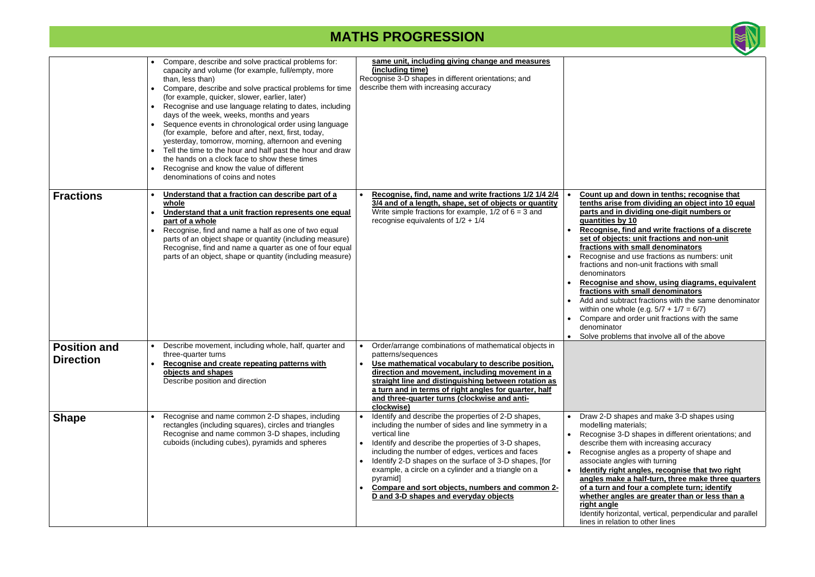|                                         | Compare, describe and solve practical problems for:<br>capacity and volume (for example, full/empty, more<br>than, less than)<br>Compare, describe and solve practical problems for time<br>(for example, quicker, slower, earlier, later)<br>Recognise and use language relating to dates, including<br>$\bullet$<br>days of the week, weeks, months and years<br>Sequence events in chronological order using language<br>(for example, before and after, next, first, today,<br>yesterday, tomorrow, morning, afternoon and evening<br>Tell the time to the hour and half past the hour and draw<br>the hands on a clock face to show these times<br>Recognise and know the value of different<br>$\bullet$<br>denominations of coins and notes | same unit, including giving change and measures<br>(including time)<br>Recognise 3-D shapes in different orientations; and<br>describe them with increasing accuracy                                                                                                                                                                                                                                                                                              |                                                                                                                                                                                                                                                                                               |
|-----------------------------------------|----------------------------------------------------------------------------------------------------------------------------------------------------------------------------------------------------------------------------------------------------------------------------------------------------------------------------------------------------------------------------------------------------------------------------------------------------------------------------------------------------------------------------------------------------------------------------------------------------------------------------------------------------------------------------------------------------------------------------------------------------|-------------------------------------------------------------------------------------------------------------------------------------------------------------------------------------------------------------------------------------------------------------------------------------------------------------------------------------------------------------------------------------------------------------------------------------------------------------------|-----------------------------------------------------------------------------------------------------------------------------------------------------------------------------------------------------------------------------------------------------------------------------------------------|
| <b>Fractions</b>                        | Understand that a fraction can describe part of a<br>whole<br>Understand that a unit fraction represents one equal<br>part of a whole<br>Recognise, find and name a half as one of two equal<br>parts of an object shape or quantity (including measure)<br>Recognise, find and name a quarter as one of four equal<br>parts of an object, shape or quantity (including measure)                                                                                                                                                                                                                                                                                                                                                                   | Recognise, find, name and write fractions 1/2 1/4 2/4<br>3/4 and of a length, shape, set of objects or quantity<br>Write simple fractions for example, $1/2$ of $6 = 3$ and<br>recognise equivalents of $1/2 + 1/4$                                                                                                                                                                                                                                               | Count up a<br>tenths arise<br>parts and in<br><u>quantities k</u><br>Recognise,<br>$\bullet$<br>set of objec<br>fractions w<br>Recognise a<br>fractions and<br>denominato<br>Recognise<br>$\bullet$<br>fractions w<br>Add and sub<br>within one w<br>Compare ar<br>denominato<br>Solve proble |
| <b>Position and</b><br><b>Direction</b> | Describe movement, including whole, half, quarter and<br>three-quarter turns<br>Recognise and create repeating patterns with<br>objects and shapes<br>Describe position and direction                                                                                                                                                                                                                                                                                                                                                                                                                                                                                                                                                              | Order/arrange combinations of mathematical objects in<br>patterns/sequences<br>Use mathematical vocabulary to describe position,<br>direction and movement, including movement in a<br>straight line and distinguishing between rotation as<br>a turn and in terms of right angles for quarter, half<br>and three-quarter turns (clockwise and anti-<br>clockwise)                                                                                                |                                                                                                                                                                                                                                                                                               |
| <b>Shape</b>                            | Recognise and name common 2-D shapes, including<br>rectangles (including squares), circles and triangles<br>Recognise and name common 3-D shapes, including<br>cuboids (including cubes), pyramids and spheres                                                                                                                                                                                                                                                                                                                                                                                                                                                                                                                                     | Identify and describe the properties of 2-D shapes,<br>including the number of sides and line symmetry in a<br>vertical line<br>Identify and describe the properties of 3-D shapes,<br>including the number of edges, vertices and faces<br>Identify 2-D shapes on the surface of 3-D shapes, [for<br>example, a circle on a cylinder and a triangle on a<br>pyramid]<br>Compare and sort objects, numbers and common 2-<br>D and 3-D shapes and everyday objects | Draw 2-D sh<br>modelling m<br>Recognise 3<br>$\bullet$<br>describe the<br>Recognise a<br>$\bullet$<br>associate ar<br><b>Identify rigl</b><br>$\bullet$<br>angles mak<br>of a turn an<br>whether an<br>right angle<br>Identify hori:<br>lines in relat                                        |



and down in tenths; recognise that **the from dividing an object into 10 equal** in dividing one-digit numbers or **by 10 e, find and write fractions of a discrete set of objects: unit fractions and non-unit fractions with small denominators** and use fractions as numbers: unit nd non-unit fractions with small tors • **Recognise and show, using diagrams, equivalent fractions with small denominators** ubtract fractions with the same denominator

whole (e.g.  $5/7 + 1/7 = 6/7$ ) and order unit fractions with the same tor

lems that involve all of the above

shapes and make 3-D shapes using materials;

3-D shapes in different orientations; and em with increasing accuracy

angles as a property of shape and angles with turning

**ght angles, recognise that two right angles make a half-turn, three make three quarters nd four a complete turn; identify <u>Ingles are greater than or less than a</u>** 

rizontal, vertical, perpendicular and parallel ation to other lines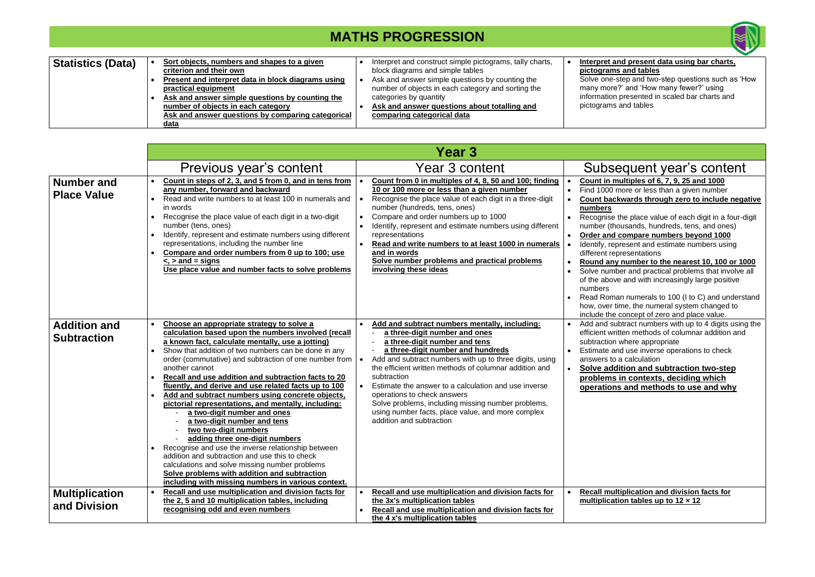| Statistics (Data) | Sort objects, numbers and shapes to a given<br>criterion and their own                  | Interpret and construct simple pictograms, tally charts,<br>block diagrams and simple tables | Interpret a<br>pictogram |
|-------------------|-----------------------------------------------------------------------------------------|----------------------------------------------------------------------------------------------|--------------------------|
|                   | Present and interpret data in block diagrams using                                      | Ask and answer simple questions by counting the                                              | Solve one                |
|                   | practical equipment<br>Ask and answer simple questions by counting the                  | number of objects in each category and sorting the<br>categories by quantity                 | many more<br>information |
|                   | number of objects in each category<br>Ask and answer questions by comparing categorical | Ask and answer questions about totalling and<br>comparing categorical data                   | pictograms               |
|                   | data                                                                                    |                                                                                              |                          |

#### • **Interpret and present data using bar charts, pictograms and tables**

Solve one-step and two-step questions such as 'How many more?' and 'How many fewer?' using information presented in scaled bar charts and pictograms and tables

|                                           |                                                                                                                                                                                                                                                                                                                                                                                                                                                                                                                                                                                                                                                                                                                                                                                                                                                                                                                     | <b>Year 3</b>                                                                                                                                                                                                                                                                                                                                                                                                                                                                                                          |                                                                                                                                                                                                                                                                                                                                                                                                                                                                                                                                                                                                                                                                                                                                                                                               |
|-------------------------------------------|---------------------------------------------------------------------------------------------------------------------------------------------------------------------------------------------------------------------------------------------------------------------------------------------------------------------------------------------------------------------------------------------------------------------------------------------------------------------------------------------------------------------------------------------------------------------------------------------------------------------------------------------------------------------------------------------------------------------------------------------------------------------------------------------------------------------------------------------------------------------------------------------------------------------|------------------------------------------------------------------------------------------------------------------------------------------------------------------------------------------------------------------------------------------------------------------------------------------------------------------------------------------------------------------------------------------------------------------------------------------------------------------------------------------------------------------------|-----------------------------------------------------------------------------------------------------------------------------------------------------------------------------------------------------------------------------------------------------------------------------------------------------------------------------------------------------------------------------------------------------------------------------------------------------------------------------------------------------------------------------------------------------------------------------------------------------------------------------------------------------------------------------------------------------------------------------------------------------------------------------------------------|
|                                           | Previous year's content                                                                                                                                                                                                                                                                                                                                                                                                                                                                                                                                                                                                                                                                                                                                                                                                                                                                                             | Year 3 content                                                                                                                                                                                                                                                                                                                                                                                                                                                                                                         | Subsequent year's content                                                                                                                                                                                                                                                                                                                                                                                                                                                                                                                                                                                                                                                                                                                                                                     |
| <b>Number and</b><br><b>Place Value</b>   | Count in steps of 2, 3, and 5 from 0, and in tens from<br>any number, forward and backward<br>Read and write numbers to at least 100 in numerals and<br>in words<br>Recognise the place value of each digit in a two-digit<br>number (tens, ones)<br>Identify, represent and estimate numbers using different<br>representations, including the number line<br>Compare and order numbers from 0 up to 100; use<br>$\le$ , $>$ and = signs<br>Use place value and number facts to solve problems                                                                                                                                                                                                                                                                                                                                                                                                                     | Count from 0 in multiples of 4, 8, 50 and 100; finding<br>10 or 100 more or less than a given number<br>Recognise the place value of each digit in a three-digit<br>number (hundreds, tens, ones)<br>Compare and order numbers up to 1000<br>Identify, represent and estimate numbers using different<br>representations<br>Read and write numbers to at least 1000 in numerals<br>and in words<br>Solve number problems and practical problems<br>involving these ideas                                               | Count in multiples of 6, 7, 9, 25 and 1000<br>Find 1000 more or less than a given number<br>$\bullet$<br>Count backwards through zero to include negative<br>numbers<br>Recognise the place value of each digit in a four-digit<br>$\bullet$<br>number (thousands, hundreds, tens, and ones)<br>Order and compare numbers beyond 1000<br>$\bullet$<br>Identify, represent and estimate numbers using<br>different representations<br>Round any number to the nearest 10, 100 or 1000<br>$\bullet$<br>Solve number and practical problems that involve all<br>$\bullet$<br>of the above and with increasingly large positive<br>numbers<br>Read Roman numerals to 100 (I to C) and understand<br>how, over time, the numeral system changed to<br>include the concept of zero and place value. |
| <b>Addition and</b><br><b>Subtraction</b> | Choose an appropriate strategy to solve a<br>calculation based upon the numbers involved (recall<br>a known fact, calculate mentally, use a jotting)<br>Show that addition of two numbers can be done in any<br>order (commutative) and subtraction of one number from $\cdot$<br>another cannot<br>Recall and use addition and subtraction facts to 20<br>fluently, and derive and use related facts up to 100<br>Add and subtract numbers using concrete objects,<br>pictorial representations, and mentally, including:<br>a two-digit number and ones<br>a two-digit number and tens<br>two two-digit numbers<br>adding three one-digit numbers<br>Recognise and use the inverse relationship between<br>addition and subtraction and use this to check<br>calculations and solve missing number problems<br>Solve problems with addition and subtraction<br>including with missing numbers in various context. | Add and subtract numbers mentally, including:<br>a three-digit number and ones<br>a three-digit number and tens<br>a three-digit number and hundreds<br>Add and subtract numbers with up to three digits, using<br>the efficient written methods of columnar addition and<br>subtraction<br>Estimate the answer to a calculation and use inverse<br>operations to check answers<br>Solve problems, including missing number problems,<br>using number facts, place value, and more complex<br>addition and subtraction | Add and subtract numbers with up to 4 digits using the<br>efficient written methods of columnar addition and<br>subtraction where appropriate<br>Estimate and use inverse operations to check<br>$\bullet$<br>answers to a calculation<br><b>Solve addition and subtraction two-step</b><br>$\bullet$<br>problems in contexts, deciding which<br>operations and methods to use and why                                                                                                                                                                                                                                                                                                                                                                                                        |
| <b>Multiplication</b><br>and Division     | Recall and use multiplication and division facts for<br>the 2, 5 and 10 multiplication tables, including<br>recognising odd and even numbers                                                                                                                                                                                                                                                                                                                                                                                                                                                                                                                                                                                                                                                                                                                                                                        | Recall and use multiplication and division facts for<br>the 3x's multiplication tables<br>Recall and use multiplication and division facts for<br>the 4 x's multiplication tables                                                                                                                                                                                                                                                                                                                                      | Recall multiplication and division facts for<br>$\bullet$<br>multiplication tables up to $12 \times 12$                                                                                                                                                                                                                                                                                                                                                                                                                                                                                                                                                                                                                                                                                       |

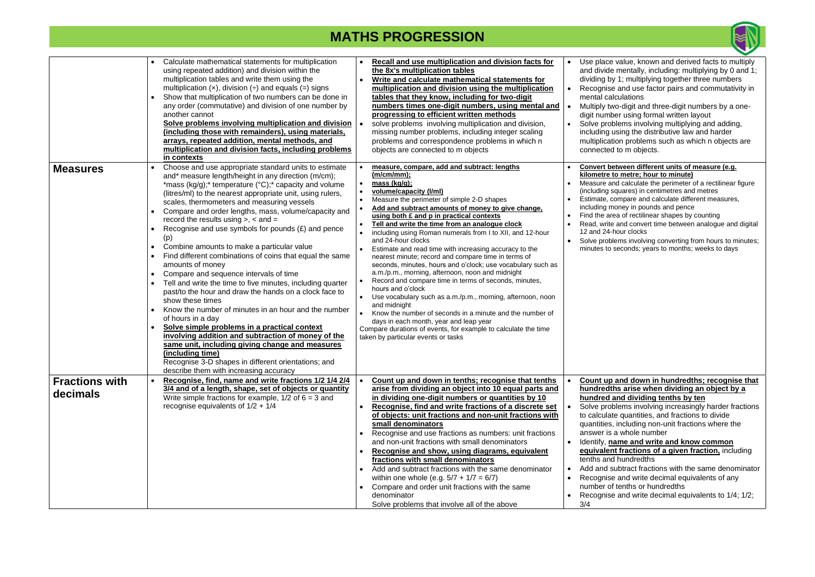|                                   | Calculate mathematical statements for multiplication<br>using repeated addition) and division within the<br>multiplication tables and write them using the<br>multiplication $(x)$ , division $\left(\div\right)$ and equals $\left(\equiv\right)$ signs<br>Show that multiplication of two numbers can be done in<br>any order (commutative) and division of one number by<br>another cannot<br>Solve problems involving multiplication and division<br>(including those with remainders), using materials,<br>arrays, repeated addition, mental methods, and<br>multiplication and division facts, including problems<br>in contexts                                                                                                                                                                                                                                                                                                                                                                                                                                                                                                           | <b>Recall and use multiplication and division facts for</b><br>the 8x's multiplication tables<br>Write and calculate mathematical statements for<br>multiplication and division using the multiplication<br>tables that they know, including for two-digit<br>numbers times one-digit numbers, using mental and<br>progressing to efficient written methods<br>solve problems involving multiplication and division,<br>missing number problems, including integer scaling<br>problems and correspondence problems in which n<br>objects are connected to m objects                                                                                                                                                                                                                                                                                                                                                                                                                                                 | Use place<br>and divide<br>dividing by<br>Recognise<br>mental cal<br>Multiply tw<br>digit numb<br>Solve prob<br>including u<br>multiplicat<br>connected                                                  |
|-----------------------------------|--------------------------------------------------------------------------------------------------------------------------------------------------------------------------------------------------------------------------------------------------------------------------------------------------------------------------------------------------------------------------------------------------------------------------------------------------------------------------------------------------------------------------------------------------------------------------------------------------------------------------------------------------------------------------------------------------------------------------------------------------------------------------------------------------------------------------------------------------------------------------------------------------------------------------------------------------------------------------------------------------------------------------------------------------------------------------------------------------------------------------------------------------|---------------------------------------------------------------------------------------------------------------------------------------------------------------------------------------------------------------------------------------------------------------------------------------------------------------------------------------------------------------------------------------------------------------------------------------------------------------------------------------------------------------------------------------------------------------------------------------------------------------------------------------------------------------------------------------------------------------------------------------------------------------------------------------------------------------------------------------------------------------------------------------------------------------------------------------------------------------------------------------------------------------------|----------------------------------------------------------------------------------------------------------------------------------------------------------------------------------------------------------|
| <b>Measures</b>                   | Choose and use appropriate standard units to estimate<br>and* measure length/height in any direction (m/cm);<br>*mass (kg/g);* temperature ( $^{\circ}$ C);* capacity and volume<br>(litres/ml) to the nearest appropriate unit, using rulers,<br>scales, thermometers and measuring vessels<br>Compare and order lengths, mass, volume/capacity and<br>record the results using $>$ , $<$ and $=$<br>Recognise and use symbols for pounds $(E)$ and pence<br>(p)<br>Combine amounts to make a particular value<br>Find different combinations of coins that equal the same<br>amounts of money<br>Compare and sequence intervals of time<br>Tell and write the time to five minutes, including quarter<br>past/to the hour and draw the hands on a clock face to<br>show these times<br>Know the number of minutes in an hour and the number<br>of hours in a day<br>Solve simple problems in a practical context<br>involving addition and subtraction of money of the<br>same unit, including giving change and measures<br>(including time)<br>Recognise 3-D shapes in different orientations; and<br>describe them with increasing accuracy | measure, compare, add and subtract: lengths<br>(m/cm/mm);<br>mass (kg/g);<br>volume/capacity (I/ml)<br>Measure the perimeter of simple 2-D shapes<br>Add and subtract amounts of money to give change.<br>using both £ and p in practical contexts<br>Tell and write the time from an analogue clock<br>including using Roman numerals from I to XII, and 12-hour<br>$\bullet$<br>and 24-hour clocks<br>Estimate and read time with increasing accuracy to the<br>nearest minute; record and compare time in terms of<br>seconds, minutes, hours and o'clock; use vocabulary such as<br>a.m./p.m., morning, afternoon, noon and midnight<br>Record and compare time in terms of seconds, minutes,<br>hours and o'clock<br>Use vocabulary such as a.m./p.m., morning, afternoon, noon<br>and midnight<br>Know the number of seconds in a minute and the number of<br>days in each month, year and leap year<br>Compare durations of events, for example to calculate the time<br>taken by particular events or tasks | <b>Convert be</b><br>kilometre t<br>Measure ar<br>(including s<br>Estimate, c<br>including m<br>Find the are<br>Read, write<br>12 and 24-<br>Solve probl<br>minutes to                                   |
| <b>Fractions with</b><br>decimals | Recognise, find, name and write fractions 1/2 1/4 2/4<br>3/4 and of a length, shape, set of objects or quantity<br>Write simple fractions for example, $1/2$ of $6 = 3$ and<br>recognise equivalents of $1/2 + 1/4$                                                                                                                                                                                                                                                                                                                                                                                                                                                                                                                                                                                                                                                                                                                                                                                                                                                                                                                              | Count up and down in tenths; recognise that tenths<br>arise from dividing an object into 10 equal parts and<br>in dividing one-digit numbers or quantities by 10<br>Recognise, find and write fractions of a discrete set<br>of objects: unit fractions and non-unit fractions with<br>small denominators<br>Recognise and use fractions as numbers: unit fractions<br>$\bullet$<br>and non-unit fractions with small denominators<br>Recognise and show, using diagrams, equivalent<br>fractions with small denominators<br>Add and subtract fractions with the same denominator<br>within one whole (e.g. $5/7 + 1/7 = 6/7$ )<br>Compare and order unit fractions with the same<br>$\bullet$<br>denominator<br>Solve problems that involve all of the above                                                                                                                                                                                                                                                       | <b>Count up</b><br>hundredtl<br>hundred a<br>Solve prob<br>to calculat<br>quantities,<br>answer is<br>Identify, na<br>equivalen<br>tenths and<br>Add and s<br>Recognise<br>number of<br>Recognise<br>3/4 |



value, known and derived facts to multiply mentally, including: multiplying by 0 and 1; y 1; multiplying together three numbers

- and use factor pairs and commutativity in **lculations**
- vo-digit and three-digit numbers by a oneber using formal written layout
- blems involving multiplying and adding,
- using the distributive law and harder
- tion problems such as which n objects are d to m objects.

#### etween different units of measure (e.g. **<u>ko metre; hour to minute)</u>**

- nd calculate the perimeter of a rectilinear figure squares) in centimetres and metres
- compare and calculate different measures,
- including pounds and pence
- ea of rectilinear shapes by counting
- and convert time between analogue and digital hour clocks
- lems involving converting from hours to minutes; seconds; years to months; weeks to days

#### and down in hundredths; recognise that **hs arise when dividing an object by a** and dividing tenths by ten

blems involving increasingly harder fractions te quantities, and fractions to divide antitivies mon-unit fractions where the a whole number

#### ame and write and know common **at fractions of a given fraction, including** I hundredths

- ubtract fractions with the same denominator and write decimal equivalents of any
- f tenths or hundredths
- and write decimal equivalents to  $1/4$ ;  $1/2$ ;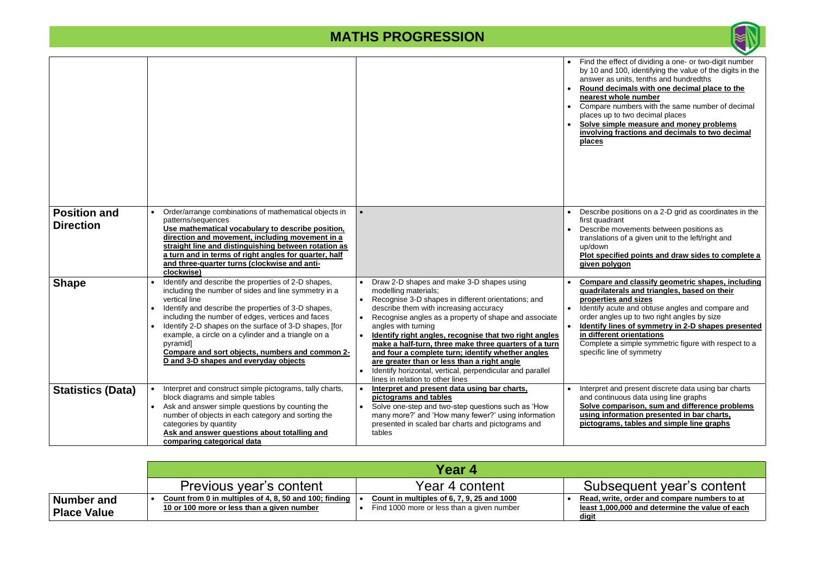#### • **Round decimals with one decimal place to the hole number**

humbers with the same number of decimal to two decimal places

• **Solve simple measure and money problems inditions and decimals to two decimal** 

bositions on a 2-D grid as coordinates in the ant

novements between positions as s of a given unit to the left/right and

**<u>Fied points and draw sides to complete a</u> given polygon**

and classify geometric shapes, including **rals and triangles, based on their** 

*and sizes* ute and obtuse angles and compare and es up to two right angles by size

**nes of symmetry in 2-D shapes presented in orientations** 

a simple symmetric figure with respect to a e of symmetry

nd present discrete data using bar charts uous data using line graphs **Solve comparison, sum and difference problems underation presented in bar charts, s**, tables and simple line graphs

### equent year's content

|                                         |                                                                                                                                                                                                                                                                                                                                                                                                                                                                   |                                                                                                                                                                                                                                                                                                                                                                                                                                                                                                                                                                            | Find the eff<br>$\bullet$<br>by 10 and '<br>answer as<br><b>Round ded</b><br>nearest wh<br>Compare n<br>places up t<br>Solve simp<br>involving f<br><b>places</b> |
|-----------------------------------------|-------------------------------------------------------------------------------------------------------------------------------------------------------------------------------------------------------------------------------------------------------------------------------------------------------------------------------------------------------------------------------------------------------------------------------------------------------------------|----------------------------------------------------------------------------------------------------------------------------------------------------------------------------------------------------------------------------------------------------------------------------------------------------------------------------------------------------------------------------------------------------------------------------------------------------------------------------------------------------------------------------------------------------------------------------|-------------------------------------------------------------------------------------------------------------------------------------------------------------------|
| <b>Position and</b><br><b>Direction</b> | Order/arrange combinations of mathematical objects in<br>patterns/sequences<br>Use mathematical vocabulary to describe position,<br>direction and movement, including movement in a<br>straight line and distinguishing between rotation as<br>a turn and in terms of right angles for quarter, half<br>and three-quarter turns (clockwise and anti-<br>clockwise)                                                                                                | $\bullet$                                                                                                                                                                                                                                                                                                                                                                                                                                                                                                                                                                  | Describe p<br>first quadra<br>Describe m<br>translations<br>up/down<br><b>Plot specif</b><br>given poly                                                           |
| <b>Shape</b>                            | Identify and describe the properties of 2-D shapes,<br>including the number of sides and line symmetry in a<br>vertical line<br>Identify and describe the properties of 3-D shapes,<br>including the number of edges, vertices and faces<br>Identify 2-D shapes on the surface of 3-D shapes, [for<br>example, a circle on a cylinder and a triangle on a<br>pyramid]<br>Compare and sort objects, numbers and common 2-<br>D and 3-D shapes and everyday objects | Draw 2-D shapes and make 3-D shapes using<br>modelling materials;<br>Recognise 3-D shapes in different orientations; and<br>describe them with increasing accuracy<br>Recognise angles as a property of shape and associate<br>angles with turning<br>Identify right angles, recognise that two right angles<br>make a half-turn, three make three quarters of a turn<br>and four a complete turn; identify whether angles<br>are greater than or less than a right angle<br>Identify horizontal, vertical, perpendicular and parallel<br>lines in relation to other lines | Compare a<br>quadrilate<br>properties<br>Identify acu<br>order angle<br><b>Identify lin</b><br>in differen<br>Complete a<br>specific line                         |
| <b>Statistics (Data)</b>                | Interpret and construct simple pictograms, tally charts,<br>block diagrams and simple tables<br>Ask and answer simple questions by counting the<br>number of objects in each category and sorting the<br>categories by quantity<br>Ask and answer questions about totalling and<br>comparing categorical data                                                                                                                                                     | Interpret and present data using bar charts,<br>pictograms and tables<br>Solve one-step and two-step questions such as 'How<br>$\bullet$<br>many more?' and 'How many fewer?' using information<br>presented in scaled bar charts and pictograms and<br>tables                                                                                                                                                                                                                                                                                                             | Interpret ar<br>$\bullet$<br>and continu<br><u>Solve com</u><br><u>using infor</u><br><u>pictogram</u>                                                            |

**ite, order and compare numbers to at least 1,000,000 and determine the value of each** 

|                                         | Year 4                                                                                               |                                                                                          |                                         |
|-----------------------------------------|------------------------------------------------------------------------------------------------------|------------------------------------------------------------------------------------------|-----------------------------------------|
|                                         | Previous year's content                                                                              | Year 4 content                                                                           | Subs                                    |
| <b>Number and</b><br><b>Place Value</b> | Count from 0 in multiples of 4, 8, 50 and 100; finding<br>10 or 100 more or less than a given number | Count in multiples of 6, 7, 9, 25 and 1000<br>Find 1000 more or less than a given number | Read, wri<br><u>least 1,00</u><br>digit |



fect of dividing a one- or two-digit number 100, identifying the value of the digits in the units, tenths and hundredths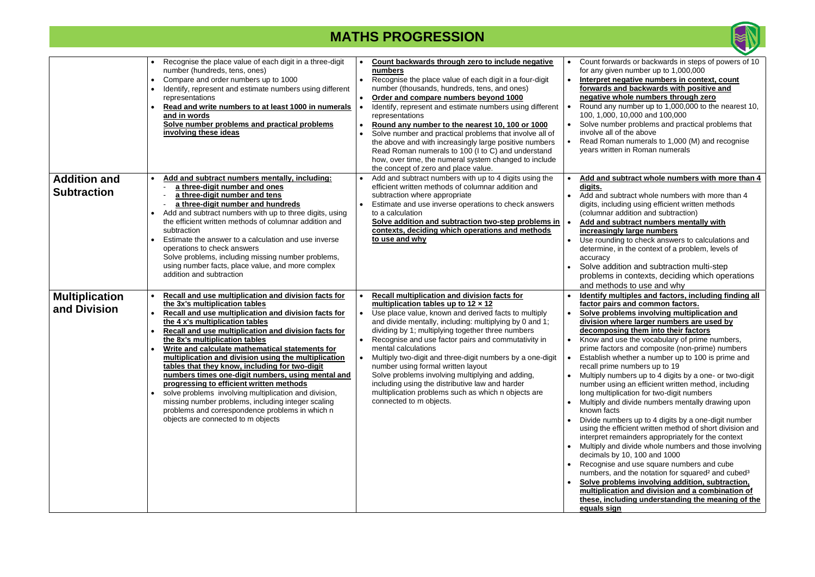#### • **Interpret negative numbers in context, count forwards and backwards with positive and negative whole numbers through zero**

 $y$  number up to 1,000,000 to the nearest 10, 0, 10,000 and 100,000

nber problems and practical problems that of the above

nan numerals to 1,000 (M) and recognise ten in Roman numerals

#### subtract whole numbers with more than 4

ubtract whole numbers with more than 4 uding using efficient written methods addition and subtraction)

| <b>Addition and</b><br><b>Subtraction</b> | Recognise the place value of each digit in a three-digit<br>number (hundreds, tens, ones)<br>Compare and order numbers up to 1000<br>Identify, represent and estimate numbers using different<br>representations<br>Read and write numbers to at least 1000 in numerals<br>and in words<br>Solve number problems and practical problems<br>involving these ideas<br>Add and subtract numbers mentally, including:<br>a three-digit number and ones<br>a three-digit number and tens<br>a three-digit number and hundreds<br>Add and subtract numbers with up to three digits, using<br>$\bullet$<br>the efficient written methods of columnar addition and<br>subtraction<br>Estimate the answer to a calculation and use inverse<br>operations to check answers<br>Solve problems, including missing number problems,<br>using number facts, place value, and more complex<br>addition and subtraction | Count backwards through zero to include negative<br>numbers<br>Recognise the place value of each digit in a four-digit<br>number (thousands, hundreds, tens, and ones)<br>Order and compare numbers beyond 1000<br>Identify, represent and estimate numbers using different<br>representations<br>Round any number to the nearest 10, 100 or 1000<br>Solve number and practical problems that involve all of<br>the above and with increasingly large positive numbers<br>Read Roman numerals to 100 (I to C) and understand<br>how, over time, the numeral system changed to include<br>the concept of zero and place value.<br>Add and subtract numbers with up to 4 digits using the<br>efficient written methods of columnar addition and<br>subtraction where appropriate<br>Estimate and use inverse operations to check answers<br>to a calculation<br>Solve addition and subtraction two-step problems in<br>contexts, deciding which operations and methods<br>to use and why | Count forv<br>for any giv<br>Interpret<br>forwards<br>negative<br>Round an<br>100, 1,000<br>Solve num<br>involve all<br><b>Read Rom</b><br>years writt<br>Add and s<br>digits.<br>Add and s<br>digits, incl<br>(columnar<br>Add and s<br>increasin<br>Use round<br>determine<br>accuracy<br>Solve add<br>problems<br>and meth                              |
|-------------------------------------------|---------------------------------------------------------------------------------------------------------------------------------------------------------------------------------------------------------------------------------------------------------------------------------------------------------------------------------------------------------------------------------------------------------------------------------------------------------------------------------------------------------------------------------------------------------------------------------------------------------------------------------------------------------------------------------------------------------------------------------------------------------------------------------------------------------------------------------------------------------------------------------------------------------|----------------------------------------------------------------------------------------------------------------------------------------------------------------------------------------------------------------------------------------------------------------------------------------------------------------------------------------------------------------------------------------------------------------------------------------------------------------------------------------------------------------------------------------------------------------------------------------------------------------------------------------------------------------------------------------------------------------------------------------------------------------------------------------------------------------------------------------------------------------------------------------------------------------------------------------------------------------------------------------|------------------------------------------------------------------------------------------------------------------------------------------------------------------------------------------------------------------------------------------------------------------------------------------------------------------------------------------------------------|
| <b>Multiplication</b><br>and Division     | Recall and use multiplication and division facts for<br>the 3x's multiplication tables<br>Recall and use multiplication and division facts for<br>the 4 x's multiplication tables<br><b>Recall and use multiplication and division facts for</b><br>the 8x's multiplication tables<br>Write and calculate mathematical statements for<br>multiplication and division using the multiplication<br>tables that they know, including for two-digit<br>numbers times one-digit numbers, using mental and<br>progressing to efficient written methods<br>solve problems involving multiplication and division,<br>missing number problems, including integer scaling<br>problems and correspondence problems in which n<br>objects are connected to m objects                                                                                                                                                | Recall multiplication and division facts for<br>multiplication tables up to $12 \times 12$<br>Use place value, known and derived facts to multiply<br>and divide mentally, including: multiplying by 0 and 1;<br>dividing by 1; multiplying together three numbers<br>Recognise and use factor pairs and commutativity in<br>mental calculations<br>Multiply two-digit and three-digit numbers by a one-digit<br>number using formal written layout<br>Solve problems involving multiplying and adding,<br>including using the distributive law and harder<br>multiplication problems such as which n objects are<br>connected to m objects.                                                                                                                                                                                                                                                                                                                                           | Identify m<br>factor pai<br>Solve pro<br>division v<br>decompo<br>Know and<br>prime fact<br>Establish<br>recall prim<br>Multiply nu<br>number us<br>long multip<br>Multiply ar<br>known fac<br>Divide nur<br>using the<br>interpret re<br>Multiply ar<br>decimals b<br>Recognise<br>numbers,<br><b>Solve pro</b><br>multiplica<br>these, inc<br>equals sig |



wards or backwards in steps of powers of 10  $ven$  number up to 1,000,000

**nultiples and factors, including finding all factor pairs and common factors.**

• **Solve problems involving multiplication and division where larger numbers are used by decomposing them into their factors** 

use the vocabulary of prime numbers, ors and composite (non-prime) numbers whether a number up to 100 is prime and ne numbers up to 19 $\overline{10}$ 

umbers up to 4 digits by a one- or two-digit sing an efficient written method, including plication for two-digit numbers

nd divide numbers mentally drawing upon  $its$ 

mbers up to 4 digits by a one-digit number efficient written method of short division and emainders appropriately for the context nd divide whole numbers and those involving by 10, 100 and 1000

e and use square numbers and cube and the notation for squared<sup>2</sup> and cubed<sup>3</sup>

#### • **Add and subtract numbers mentally with increasingly large numbers**

ling to check answers to calculations and , in the context of a problem, levels of

dition and subtraction multi-step in contexts, deciding which operations ods to use and why

**blems involving addition, subtraction, ation and division and a combination of these, including understanding the meaning of the equals sign**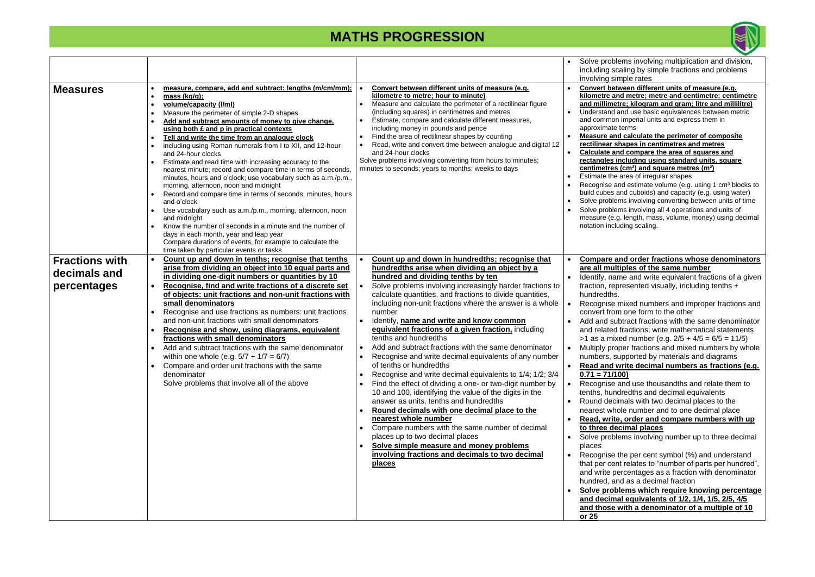**tween different units of measure (e.g. hilometre; metre and centimetre; centimetre and millimetre; kilogram and gram; litre and millilitre)** 

and use basic equivalences between metric n imperial units and express them in e terms

• **Measure and calculate the perimeter of composite rectilinear shapes in centimetres and metres**  • **Calculate and compare the area of squares and including using standard units, square centimetres (cm²) and square metres (m²)** 

e area of irregular shapes

and estimate volume (e.g. using 1 cm<sup>3</sup> blocks to and cuboids) and capacity (e.g. using water) ems involving converting between units of time ems involving all 4 operations and units of .g. length, mass, volume, money) using decimal luding scaling.

#### and order fractions whose denominators **ltiples of the same number**

ame and write equivalent fractions of a given  $apresented$  visually, including tenths  $+$ 

mixed numbers and improper fractions and m one form to the other

ubtract fractions with the same denominator I fractions; write mathematical statements  $x$ ed number (e.g.  $2/5 + 4/5 = 6/5 = 11/5$ ) oper fractions and mixed numbers by whole supported by materials and diagrams

• **Read and write decimal numbers as fractions (e.g. 00)** 

and use thousandths and relate them to dredths and decimal equivalents e imals with two decimal places to the nole number and to one decimal place

**e, order and compare numbers with up the computable of** 

lems involving number up to three decimal

the per cent symbol (%) and understand nt relates to "number of parts per hundred", ercentages as a fraction with denominator ind as a decimal fraction

**blems which require knowing percentage and decimal equivalents of 1/2, 1/4, 1/5, 2/5, 4/5**  with a denominator of a multiple of 10

|                                                      |                                                                                                                                                                                                                                                                                                                                                                                                                                                                                                                                                                                                                                                                                                                                                                                                                                                                                                                                                                                                                                  |                                                                                                                                                                                                                                                                                                                                                                                                                                                                                                                                                                                                                                                                                                                                                                                                                                                                                                                                                                                                                                                                                                                          |                                                                                                      | Solve proble<br>including sc                                                                                                                                                                                                                                                                                                                                                                                                                                             |
|------------------------------------------------------|----------------------------------------------------------------------------------------------------------------------------------------------------------------------------------------------------------------------------------------------------------------------------------------------------------------------------------------------------------------------------------------------------------------------------------------------------------------------------------------------------------------------------------------------------------------------------------------------------------------------------------------------------------------------------------------------------------------------------------------------------------------------------------------------------------------------------------------------------------------------------------------------------------------------------------------------------------------------------------------------------------------------------------|--------------------------------------------------------------------------------------------------------------------------------------------------------------------------------------------------------------------------------------------------------------------------------------------------------------------------------------------------------------------------------------------------------------------------------------------------------------------------------------------------------------------------------------------------------------------------------------------------------------------------------------------------------------------------------------------------------------------------------------------------------------------------------------------------------------------------------------------------------------------------------------------------------------------------------------------------------------------------------------------------------------------------------------------------------------------------------------------------------------------------|------------------------------------------------------------------------------------------------------|--------------------------------------------------------------------------------------------------------------------------------------------------------------------------------------------------------------------------------------------------------------------------------------------------------------------------------------------------------------------------------------------------------------------------------------------------------------------------|
| <b>Measures</b>                                      | measure, compare, add and subtract: lengths (m/cm/mm);<br>mass $(kq/q)$ ;<br>volume/capacity (I/ml)<br>Measure the perimeter of simple 2-D shapes<br>$\bullet$<br>Add and subtract amounts of money to give change,<br>using both £ and p in practical contexts<br>Tell and write the time from an analogue clock<br>$\bullet$<br>including using Roman numerals from I to XII, and 12-hour<br>and 24-hour clocks<br>Estimate and read time with increasing accuracy to the<br>nearest minute; record and compare time in terms of seconds,<br>minutes, hours and o'clock; use vocabulary such as a.m./p.m.,<br>morning, afternoon, noon and midnight<br>Record and compare time in terms of seconds, minutes, hours<br>and o'clock<br>Use vocabulary such as a.m./p.m., morning, afternoon, noon<br>and midnight<br>Know the number of seconds in a minute and the number of<br>days in each month, year and leap year<br>Compare durations of events, for example to calculate the<br>time taken by particular events or tasks | Convert between different units of measure (e.g.<br>kilometre to metre; hour to minute)<br>Measure and calculate the perimeter of a rectilinear figure<br>(including squares) in centimetres and metres<br>Estimate, compare and calculate different measures,<br>including money in pounds and pence<br>Find the area of rectilinear shapes by counting<br>Read, write and convert time between analogue and digital 12<br>and 24-hour clocks<br>Solve problems involving converting from hours to minutes;<br>minutes to seconds; years to months; weeks to days                                                                                                                                                                                                                                                                                                                                                                                                                                                                                                                                                       |                                                                                                      | involving sir<br><b>Convert bety</b><br>kilometre an<br>and millimet<br>Understand a<br>and common<br>approximate<br><b>Measure and</b><br>rectilinear sl<br>Calculate an<br>rectangles in<br>centimetres<br>Estimate the<br>Recognise ar<br>build cubes a<br>Solve probler<br>Solve probler<br>measure (e.g<br>notation inclu                                                                                                                                           |
| <b>Fractions with</b><br>decimals and<br>percentages | Count up and down in tenths; recognise that tenths<br>arise from dividing an object into 10 equal parts and<br>in dividing one-digit numbers or quantities by 10<br>Recognise, find and write fractions of a discrete set<br>of objects: unit fractions and non-unit fractions with<br>small denominators<br>Recognise and use fractions as numbers: unit fractions<br>and non-unit fractions with small denominators<br>Recognise and show, using diagrams, equivalent<br>fractions with small denominators<br>Add and subtract fractions with the same denominator<br>within one whole (e.g. $5/7 + 1/7 = 6/7$ )<br>Compare and order unit fractions with the same<br>denominator<br>Solve problems that involve all of the above                                                                                                                                                                                                                                                                                              | Count up and down in hundredths; recognise that<br>hundredths arise when dividing an object by a<br>hundred and dividing tenths by ten<br>Solve problems involving increasingly harder fractions to<br>calculate quantities, and fractions to divide quantities,<br>including non-unit fractions where the answer is a whole<br>number<br>Identify, name and write and know common<br>equivalent fractions of a given fraction, including<br>tenths and hundredths<br>Add and subtract fractions with the same denominator<br>Recognise and write decimal equivalents of any number<br>of tenths or hundredths<br>Recognise and write decimal equivalents to 1/4; 1/2; 3/4<br>Find the effect of dividing a one- or two-digit number by<br>10 and 100, identifying the value of the digits in the<br>answer as units, tenths and hundredths<br>Round decimals with one decimal place to the<br>nearest whole number<br>Compare numbers with the same number of decimal<br>places up to two decimal places<br>Solve simple measure and money problems<br>involving fractions and decimals to two decimal<br><u>places</u> | $\bullet$<br>$\bullet$<br>$\bullet$<br>$\bullet$<br>$\bullet$<br>$\bullet$<br>$\bullet$<br>$\bullet$ | Compare a<br>are all mult<br>Identify, nar<br>fraction, rep<br>hundredths.<br>Recognise r<br>convert fron<br>Add and sul<br>and related<br>>1 as a mix<br>Multiply pro<br>numbers, su<br><b>Read and v</b><br>$0.71 = 71/10$<br>Recognise a<br>tenths, hund<br>Round decir<br>nearest who<br><b>Read, write</b><br>to three de<br>Solve proble<br>places<br>Recognise t<br>that per cen<br>and write pe<br>hundred, an<br>Solve prob<br>and decima<br>and those<br>or 25 |



lems involving multiplication and division, caling by simple fractions and problems imple rates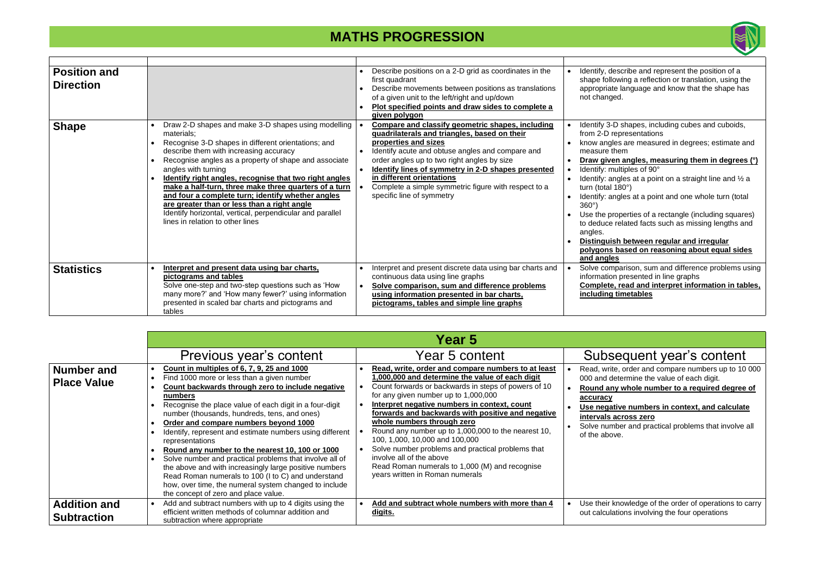• **Draw given angles, measuring them in degrees (°)** ultiples of 90°

igles at a point on a straight line and  $\frac{1}{2}$  a  $180^\circ$ )

gles at a point and one whole turn (total

pperties of a rectangle (including squares) related facts such as missing lengths and

### **h** between regular and irregular **polygons based on reasoning about equal sides**

parison, sum and difference problems using presented in line graphs

read and interpret information in tables, **imetables** 

### equent year's content

e, order and compare numbers up to 10 000 etermine the value of each digit.

| <b>Position and</b><br><b>Direction</b> |                                                                                                                                                                                                                                                                                                                                                                                                                                                                                                                                                                                         | Identify, des<br>Describe positions on a 2-D grid as coordinates in the<br>first quadrant<br>shape folloy<br>appropriate<br>Describe movements between positions as translations<br>of a given unit to the left/right and up/down<br>not change<br>Plot specified points and draw sides to complete a<br>given polygon                                                                                                                                                                                                                                                                                                                                                                                       |
|-----------------------------------------|-----------------------------------------------------------------------------------------------------------------------------------------------------------------------------------------------------------------------------------------------------------------------------------------------------------------------------------------------------------------------------------------------------------------------------------------------------------------------------------------------------------------------------------------------------------------------------------------|--------------------------------------------------------------------------------------------------------------------------------------------------------------------------------------------------------------------------------------------------------------------------------------------------------------------------------------------------------------------------------------------------------------------------------------------------------------------------------------------------------------------------------------------------------------------------------------------------------------------------------------------------------------------------------------------------------------|
| <b>Shape</b>                            | Draw 2-D shapes and make 3-D shapes using modelling<br>materials;<br>Recognise 3-D shapes in different orientations; and<br>$\bullet$<br>describe them with increasing accuracy<br>Recognise angles as a property of shape and associate<br>angles with turning<br>Identify right angles, recognise that two right angles<br>make a half-turn, three make three quarters of a turn<br>and four a complete turn; identify whether angles<br>are greater than or less than a right angle<br>Identify horizontal, vertical, perpendicular and parallel<br>lines in relation to other lines | Identify 3-D<br><b>Compare and classify geometric shapes, including</b><br>quadrilaterals and triangles, based on their<br>from 2-D re<br>properties and sizes<br>know angle<br>Identify acute and obtuse angles and compare and<br>measure the<br>order angles up to two right angles by size<br><b>Draw giver</b><br>$\bullet$<br>Identify lines of symmetry in 2-D shapes presented<br>Identify: mu<br>$\bullet$<br>in different orientations<br>Identify: and<br>Complete a simple symmetric figure with respect to a<br>turn (total 1<br>specific line of symmetry<br>Identify: and<br>$360^\circ$ )<br>Use the pro<br>to deduce re<br>angles.<br><u>Distinguish</u><br><u>polygons b</u><br>and angles |
| <b>Statistics</b>                       | Interpret and present data using bar charts,<br>pictograms and tables<br>Solve one-step and two-step questions such as 'How<br>many more?' and 'How many fewer?' using information<br>presented in scaled bar charts and pictograms and<br>tables                                                                                                                                                                                                                                                                                                                                       | Interpret and present discrete data using bar charts and<br>Solve comp<br>continuous data using line graphs<br>information<br>Complete,<br>Solve comparison, sum and difference problems<br><u>including t</u><br>using information presented in bar charts,<br>pictograms, tables and simple line graphs                                                                                                                                                                                                                                                                                                                                                                                                    |

#### **Example 1 Is no in context, and calculate intervals across zero**

ber and practical problems that involve all  $ve.$ 

nowledge of the order of operations to carry tions involving the four operations

|                                           |                                                                                                                                                                                                                                                                                                                                                                                                                                                                                                                                                                                                                                                                                                                           | Year 5                                                                                                                                                                                                                                                                                                                                                                                                                                                                                                                                                                                                  |                                                                                                                     |
|-------------------------------------------|---------------------------------------------------------------------------------------------------------------------------------------------------------------------------------------------------------------------------------------------------------------------------------------------------------------------------------------------------------------------------------------------------------------------------------------------------------------------------------------------------------------------------------------------------------------------------------------------------------------------------------------------------------------------------------------------------------------------------|---------------------------------------------------------------------------------------------------------------------------------------------------------------------------------------------------------------------------------------------------------------------------------------------------------------------------------------------------------------------------------------------------------------------------------------------------------------------------------------------------------------------------------------------------------------------------------------------------------|---------------------------------------------------------------------------------------------------------------------|
|                                           | Previous year's content                                                                                                                                                                                                                                                                                                                                                                                                                                                                                                                                                                                                                                                                                                   | Year 5 content                                                                                                                                                                                                                                                                                                                                                                                                                                                                                                                                                                                          | <b>Subs</b>                                                                                                         |
| <b>Number and</b><br><b>Place Value</b>   | Count in multiples of 6, 7, 9, 25 and 1000<br>Find 1000 more or less than a given number<br>Count backwards through zero to include negative<br>numbers<br>Recognise the place value of each digit in a four-digit<br>number (thousands, hundreds, tens, and ones)<br>Order and compare numbers beyond 1000<br>Identify, represent and estimate numbers using different<br>representations<br>Round any number to the nearest 10, 100 or 1000<br>Solve number and practical problems that involve all of<br>the above and with increasingly large positive numbers<br>Read Roman numerals to 100 (I to C) and understand<br>how, over time, the numeral system changed to include<br>the concept of zero and place value. | Read, write, order and compare numbers to at least<br>1,000,000 and determine the value of each digit<br>Count forwards or backwards in steps of powers of 10<br>for any given number up to 1,000,000<br>Interpret negative numbers in context, count<br>forwards and backwards with positive and negative<br>whole numbers through zero<br>Round any number up to 1,000,000 to the nearest 10,<br>100, 1,000, 10,000 and 100,000<br>Solve number problems and practical problems that<br>involve all of the above<br>Read Roman numerals to 1,000 (M) and recognise<br>years written in Roman numerals | Read, write<br>000 and de<br>Round any<br>accuracy<br><u>Use negati</u><br>intervals a<br>Solve numl<br>of the abov |
| <b>Addition and</b><br><b>Subtraction</b> | Add and subtract numbers with up to 4 digits using the<br>efficient written methods of columnar addition and<br>subtraction where appropriate                                                                                                                                                                                                                                                                                                                                                                                                                                                                                                                                                                             | Add and subtract whole numbers with more than 4<br><u>digits.</u>                                                                                                                                                                                                                                                                                                                                                                                                                                                                                                                                       | Use their k<br>out calculat                                                                                         |



scribe and represent the position of a wing a reflection or translation, using the language and know that the shape has d.

shapes, including cubes and cuboids, epresentations

es are measured in degrees; estimate and ıem

### • **Round any whole number to a required degree of**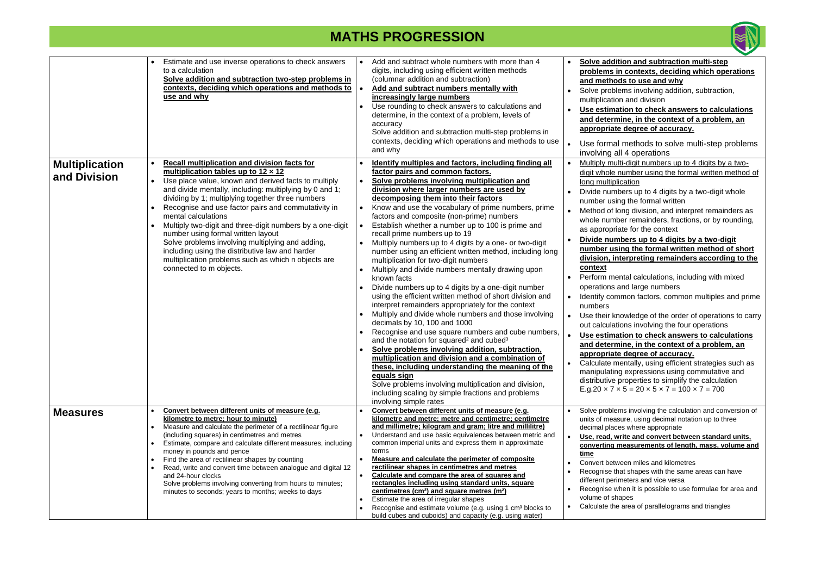|                                       | Estimate and use inverse operations to check answers<br>to a calculation<br>Solve addition and subtraction two-step problems in<br>contexts, deciding which operations and methods to<br>use and why                                                                                                                                                                                                                                                                                                                                                                                                                                                | Add and subtract whole numbers with more than 4<br>digits, including using efficient written methods<br>(columnar addition and subtraction)<br>Add and subtract numbers mentally with<br>increasingly large numbers<br>Use rounding to check answers to calculations and<br>$\bullet$<br>determine, in the context of a problem, levels of<br>accuracy<br>Solve addition and subtraction multi-step problems in<br>contexts, deciding which operations and methods to use<br>and why                                                                                                                                                                                                                                                                                                                                                                                                                                                                                                                                                                                                                                                                                                                                                                                                                                                                                                                                                      | Solve addition and subtraction multi-step<br>problems in contexts, deciding which operations<br>and methods to use and why<br>Solve problems involving addition, subtraction,<br>multiplication and division<br>Use estimation to check answers to calculations<br>and determine, in the context of a problem, an<br>appropriate degree of accuracy.<br>Use formal methods to solve multi-step problems<br>involving all 4 operations                                                                                                                                                                                                                                                                                                                                                                                                                                                                                                                                                                                                                                                                                                                                                                                                                             |
|---------------------------------------|-----------------------------------------------------------------------------------------------------------------------------------------------------------------------------------------------------------------------------------------------------------------------------------------------------------------------------------------------------------------------------------------------------------------------------------------------------------------------------------------------------------------------------------------------------------------------------------------------------------------------------------------------------|-------------------------------------------------------------------------------------------------------------------------------------------------------------------------------------------------------------------------------------------------------------------------------------------------------------------------------------------------------------------------------------------------------------------------------------------------------------------------------------------------------------------------------------------------------------------------------------------------------------------------------------------------------------------------------------------------------------------------------------------------------------------------------------------------------------------------------------------------------------------------------------------------------------------------------------------------------------------------------------------------------------------------------------------------------------------------------------------------------------------------------------------------------------------------------------------------------------------------------------------------------------------------------------------------------------------------------------------------------------------------------------------------------------------------------------------|-------------------------------------------------------------------------------------------------------------------------------------------------------------------------------------------------------------------------------------------------------------------------------------------------------------------------------------------------------------------------------------------------------------------------------------------------------------------------------------------------------------------------------------------------------------------------------------------------------------------------------------------------------------------------------------------------------------------------------------------------------------------------------------------------------------------------------------------------------------------------------------------------------------------------------------------------------------------------------------------------------------------------------------------------------------------------------------------------------------------------------------------------------------------------------------------------------------------------------------------------------------------|
| <b>Multiplication</b><br>and Division | <b>Recall multiplication and division facts for</b><br>multiplication tables up to $12 \times 12$<br>Use place value, known and derived facts to multiply<br>and divide mentally, including: multiplying by 0 and 1;<br>dividing by 1; multiplying together three numbers<br>Recognise and use factor pairs and commutativity in<br>mental calculations<br>Multiply two-digit and three-digit numbers by a one-digit<br>number using formal written layout<br>Solve problems involving multiplying and adding,<br>including using the distributive law and harder<br>multiplication problems such as which n objects are<br>connected to m objects. | Identify multiples and factors, including finding all<br>factor pairs and common factors.<br>Solve problems involving multiplication and<br>$\bullet$<br>division where larger numbers are used by<br>decomposing them into their factors<br>Know and use the vocabulary of prime numbers, prime<br>$\bullet$<br>factors and composite (non-prime) numbers<br>Establish whether a number up to 100 is prime and<br>recall prime numbers up to 19<br>Multiply numbers up to 4 digits by a one- or two-digit<br>$\bullet$<br>number using an efficient written method, including long<br>multiplication for two-digit numbers<br>Multiply and divide numbers mentally drawing upon<br>$\bullet$<br>known facts<br>Divide numbers up to 4 digits by a one-digit number<br>$\bullet$<br>using the efficient written method of short division and<br>interpret remainders appropriately for the context<br>Multiply and divide whole numbers and those involving<br>decimals by 10, 100 and 1000<br>Recognise and use square numbers and cube numbers,<br>and the notation for squared <sup>2</sup> and cubed <sup>3</sup><br>Solve problems involving addition, subtraction,<br>multiplication and division and a combination of<br>these, including understanding the meaning of the<br>equals sign<br>Solve problems involving multiplication and division,<br>including scaling by simple fractions and problems<br>involving simple rates | Multiply multi-digit numbers up to 4 digits by a two-<br>digit whole number using the formal written method of<br>long multiplication<br>Divide numbers up to 4 digits by a two-digit whole<br>number using the formal written<br>Method of long division, and interpret remainders as<br>$\bullet$<br>whole number remainders, fractions, or by rounding,<br>as appropriate for the context<br>Divide numbers up to 4 digits by a two-digit<br>$\bullet$<br>number using the formal written method of short<br>division, interpreting remainders according to the<br>context<br>Perform mental calculations, including with mixed<br>operations and large numbers<br>Identify common factors, common multiples and prime<br>$\bullet$<br>numbers<br>Use their knowledge of the order of operations to carry<br>$\bullet$<br>out calculations involving the four operations<br>Use estimation to check answers to calculations<br>and determine, in the context of a problem, an<br>appropriate degree of accuracy.<br>Calculate mentally, using efficient strategies such as<br>manipulating expressions using commutative and<br>distributive properties to simplify the calculation<br>$E.g. 20 \times 7 \times 5 = 20 \times 5 \times 7 = 100 \times 7 = 700$ |
| <b>Measures</b>                       | Convert between different units of measure (e.g.<br>kilometre to metre; hour to minute)<br>Measure and calculate the perimeter of a rectilinear figure<br>(including squares) in centimetres and metres<br>Estimate, compare and calculate different measures, including<br>money in pounds and pence<br>Find the area of rectilinear shapes by counting<br>Read, write and convert time between analogue and digital 12<br>and 24-hour clocks<br>Solve problems involving converting from hours to minutes;<br>minutes to seconds; years to months; weeks to days                                                                                  | Convert between different units of measure (e.g.<br>kilometre and metre; metre and centimetre; centimetre<br>and millimetre; kilogram and gram; litre and millilitre)<br>Understand and use basic equivalences between metric and<br>$\bullet$<br>common imperial units and express them in approximate<br>terms<br>Measure and calculate the perimeter of composite<br>$\bullet$<br>rectilinear shapes in centimetres and metres<br>Calculate and compare the area of squares and<br>$\bullet$<br>rectangles including using standard units, square<br>centimetres (cm <sup>2</sup> ) and square metres (m <sup>2</sup> )<br>Estimate the area of irregular shapes<br>$\bullet$<br>Recognise and estimate volume (e.g. using 1 cm <sup>3</sup> blocks to<br>$\bullet$<br>build cubes and cuboids) and capacity (e.g. using water)                                                                                                                                                                                                                                                                                                                                                                                                                                                                                                                                                                                                        | Solve problems involving the calculation and conversion of<br>units of measure, using decimal notation up to three<br>decimal places where appropriate<br>Use, read, write and convert between standard units,<br>$\bullet$<br>converting measurements of length, mass, volume and<br>time<br>Convert between miles and kilometres<br>$\bullet$<br>Recognise that shapes with the same areas can have<br>different perimeters and vice versa<br>Recognise when it is possible to use formulae for area and<br>$\bullet$<br>volume of shapes<br>Calculate the area of parallelograms and triangles<br>$\bullet$                                                                                                                                                                                                                                                                                                                                                                                                                                                                                                                                                                                                                                                    |

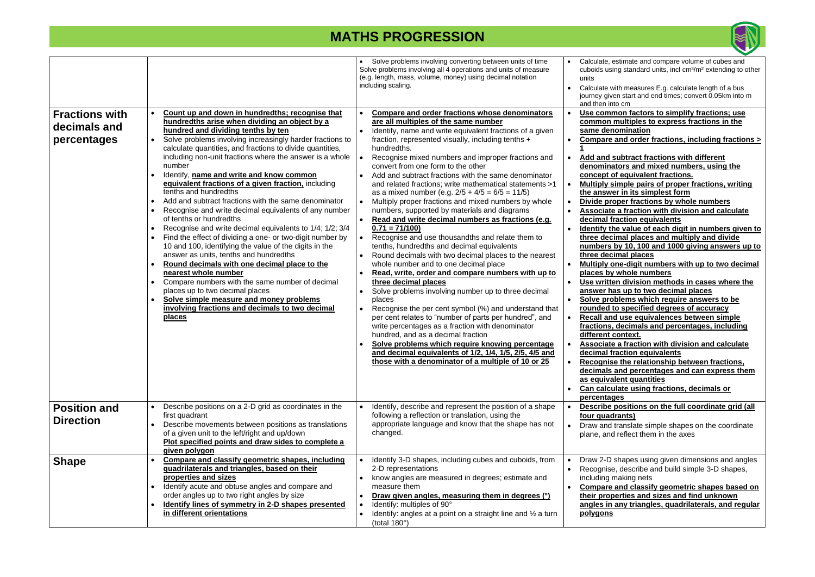| <b>Fractions with</b>                   | Count up and down in hundredths; recognise that                                                                                                                                                                                                                                                                                                                                                                                                                                                                                                                                                                                                                                                                                                                                                                                                                                                                                                                                                                                                                | Solve problems involving converting between units of time<br>Solve problems involving all 4 operations and units of measure<br>(e.g. length, mass, volume, money) using decimal notation<br>including scaling.<br>Compare and order fractions whose denominators                                                                                                                                                                                                                                                                                                                                                                                                                                                                                                                                                                                                                                                                                                                                                                                                                                                                                                                                                                                                                                                                                             | Calculate, estimate and compare volume of cubes and<br>cuboids using standard units, incl cm <sup>3</sup> /m <sup>2</sup> extending to other<br>units<br>Calculate with measures E.g. calculate length of a bus<br>journey given start and end times; convert 0.05km into m<br>and then into cm<br>Use common factors to simplify fractions; use                                                                                                                                                                                                                                                                                                                                                                                                                                                                                                                                                                                                                                                                                                                                                                                                                                                                                                                                                                                                         |
|-----------------------------------------|----------------------------------------------------------------------------------------------------------------------------------------------------------------------------------------------------------------------------------------------------------------------------------------------------------------------------------------------------------------------------------------------------------------------------------------------------------------------------------------------------------------------------------------------------------------------------------------------------------------------------------------------------------------------------------------------------------------------------------------------------------------------------------------------------------------------------------------------------------------------------------------------------------------------------------------------------------------------------------------------------------------------------------------------------------------|--------------------------------------------------------------------------------------------------------------------------------------------------------------------------------------------------------------------------------------------------------------------------------------------------------------------------------------------------------------------------------------------------------------------------------------------------------------------------------------------------------------------------------------------------------------------------------------------------------------------------------------------------------------------------------------------------------------------------------------------------------------------------------------------------------------------------------------------------------------------------------------------------------------------------------------------------------------------------------------------------------------------------------------------------------------------------------------------------------------------------------------------------------------------------------------------------------------------------------------------------------------------------------------------------------------------------------------------------------------|----------------------------------------------------------------------------------------------------------------------------------------------------------------------------------------------------------------------------------------------------------------------------------------------------------------------------------------------------------------------------------------------------------------------------------------------------------------------------------------------------------------------------------------------------------------------------------------------------------------------------------------------------------------------------------------------------------------------------------------------------------------------------------------------------------------------------------------------------------------------------------------------------------------------------------------------------------------------------------------------------------------------------------------------------------------------------------------------------------------------------------------------------------------------------------------------------------------------------------------------------------------------------------------------------------------------------------------------------------|
| decimals and<br>percentages             | hundredths arise when dividing an object by a<br>hundred and dividing tenths by ten<br>Solve problems involving increasingly harder fractions to<br>calculate quantities, and fractions to divide quantities,<br>including non-unit fractions where the answer is a whole<br>number<br>Identify, name and write and know common<br>equivalent fractions of a given fraction, including<br>tenths and hundredths<br>Add and subtract fractions with the same denominator<br>Recognise and write decimal equivalents of any number<br>of tenths or hundredths<br>Recognise and write decimal equivalents to 1/4; 1/2; 3/4<br>Find the effect of dividing a one- or two-digit number by<br>10 and 100, identifying the value of the digits in the<br>answer as units, tenths and hundredths<br>Round decimals with one decimal place to the<br>nearest whole number<br>Compare numbers with the same number of decimal<br>places up to two decimal places<br>Solve simple measure and money problems<br>involving fractions and decimals to two decimal<br>places | are all multiples of the same number<br>Identify, name and write equivalent fractions of a given<br>fraction, represented visually, including tenths +<br>hundredths.<br>Recognise mixed numbers and improper fractions and<br>convert from one form to the other<br>Add and subtract fractions with the same denominator<br>and related fractions; write mathematical statements >1<br>as a mixed number (e.g. $2/5 + 4/5 = 6/5 = 11/5$ )<br>Multiply proper fractions and mixed numbers by whole<br>numbers, supported by materials and diagrams<br>Read and write decimal numbers as fractions (e.g.<br>$0.71 = 71/100$<br>Recognise and use thousandths and relate them to<br>tenths, hundredths and decimal equivalents<br>Round decimals with two decimal places to the nearest<br>whole number and to one decimal place<br>Read, write, order and compare numbers with up to<br>three decimal places<br>Solve problems involving number up to three decimal<br>places<br>Recognise the per cent symbol (%) and understand that<br>per cent relates to "number of parts per hundred", and<br>write percentages as a fraction with denominator<br>hundred, and as a decimal fraction<br>Solve problems which require knowing percentage<br>and decimal equivalents of 1/2, 1/4, 1/5, 2/5, 4/5 and<br>those with a denominator of a multiple of 10 or 25 | common multiples to express fractions in the<br>same denomination<br>Compare and order fractions, including fractions ><br>Add and subtract fractions with different<br>denominators and mixed numbers, using the<br>concept of equivalent fractions.<br>Multiply simple pairs of proper fractions, writing<br>the answer in its simplest form<br>Divide proper fractions by whole numbers<br>$\bullet$<br>Associate a fraction with division and calculate<br>decimal fraction equivalents<br>Identify the value of each digit in numbers given to<br>three decimal places and multiply and divide<br>numbers by 10, 100 and 1000 giving answers up to<br>three decimal places<br>Multiply one-digit numbers with up to two decimal<br>places by whole numbers<br>Use written division methods in cases where the<br>answer has up to two decimal places<br>Solve problems which require answers to be<br>rounded to specified degrees of accuracy<br>Recall and use equivalences between simple<br>fractions, decimals and percentages, including<br>different context.<br>Associate a fraction with division and calculate<br>decimal fraction equivalents<br>Recognise the relationship between fractions,<br>decimals and percentages and can express them<br>as equivalent quantities<br>Can calculate using fractions, decimals or<br>percentages |
| <b>Position and</b><br><b>Direction</b> | Describe positions on a 2-D grid as coordinates in the<br>first quadrant<br>Describe movements between positions as translations<br>of a given unit to the left/right and up/down<br>Plot specified points and draw sides to complete a<br>given polygon                                                                                                                                                                                                                                                                                                                                                                                                                                                                                                                                                                                                                                                                                                                                                                                                       | Identify, describe and represent the position of a shape<br>following a reflection or translation, using the<br>appropriate language and know that the shape has not<br>changed.                                                                                                                                                                                                                                                                                                                                                                                                                                                                                                                                                                                                                                                                                                                                                                                                                                                                                                                                                                                                                                                                                                                                                                             | Describe positions on the full coordinate grid (all<br>four quadrants)<br>Draw and translate simple shapes on the coordinate<br>plane, and reflect them in the axes                                                                                                                                                                                                                                                                                                                                                                                                                                                                                                                                                                                                                                                                                                                                                                                                                                                                                                                                                                                                                                                                                                                                                                                      |
| <b>Shape</b>                            | Compare and classify geometric shapes, including<br>quadrilaterals and triangles, based on their<br>properties and sizes<br>Identify acute and obtuse angles and compare and<br>order angles up to two right angles by size<br>Identify lines of symmetry in 2-D shapes presented<br>in different orientations                                                                                                                                                                                                                                                                                                                                                                                                                                                                                                                                                                                                                                                                                                                                                 | Identify 3-D shapes, including cubes and cuboids, from<br>2-D representations<br>know angles are measured in degrees; estimate and<br>$\bullet$<br>measure them<br>Draw given angles, measuring them in degrees (°)<br>Identify: multiples of 90°<br>$\bullet$<br>Identify: angles at a point on a straight line and $\frac{1}{2}$ a turn<br>$\bullet$<br>(total 180°)                                                                                                                                                                                                                                                                                                                                                                                                                                                                                                                                                                                                                                                                                                                                                                                                                                                                                                                                                                                       | Draw 2-D shapes using given dimensions and angles<br>Recognise, describe and build simple 3-D shapes,<br>$\bullet$<br>including making nets<br>Compare and classify geometric shapes based on<br>their properties and sizes and find unknown<br>angles in any triangles, quadrilaterals, and regular<br><u>polygons</u>                                                                                                                                                                                                                                                                                                                                                                                                                                                                                                                                                                                                                                                                                                                                                                                                                                                                                                                                                                                                                                  |

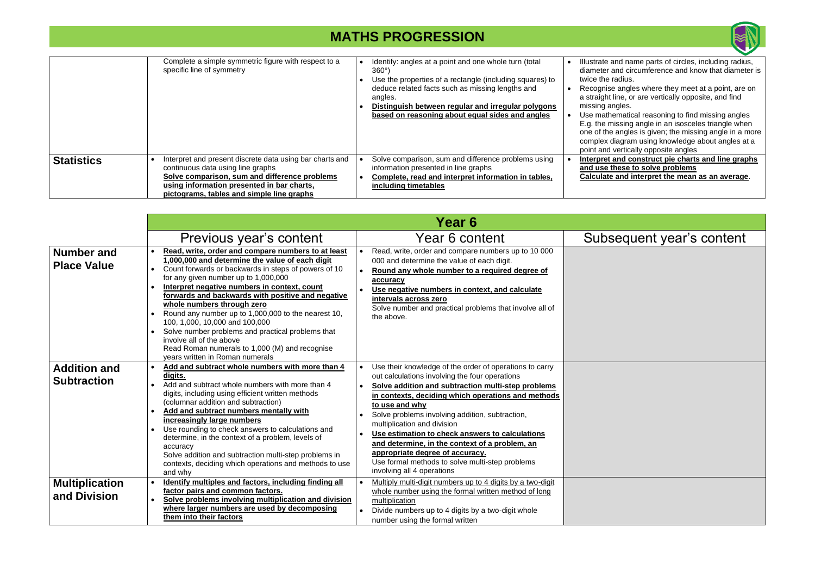• Illustrate and name parts of circles, including radius, diameter and circumference and know that diameter is adius.

angles where they meet at a point, are on ine, or are vertically opposite, and find gles.

• Use mathematical reasoning to find missing angles E.g. the missing angle in an isosceles triangle when one of the angles is given; the missing angle in a more complex diagram using knowledge about angles at a vertically opposite angles

and construct pie charts and line graphs **and use to solve problems** 

and interpret the mean as an average.

### sequent year's content

|                   | Complete a simple symmetric figure with respect to a<br>specific line of symmetry                                                                                                                                                         | Identify: angles at a point and one whole turn (total<br>360°)<br>Use the properties of a rectangle (including squares) to<br>deduce related facts such as missing lengths and<br>angles.<br>Distinguish between regular and irregular polygons<br>based on reasoning about equal sides and angles | Illustrate an<br>diameter ar<br>twice the ra<br><b>Recognise</b><br>a straight lir<br>missing and<br>Use mather<br>E.g. the mis<br>one of the a<br>complex dia<br>point and v |
|-------------------|-------------------------------------------------------------------------------------------------------------------------------------------------------------------------------------------------------------------------------------------|----------------------------------------------------------------------------------------------------------------------------------------------------------------------------------------------------------------------------------------------------------------------------------------------------|-------------------------------------------------------------------------------------------------------------------------------------------------------------------------------|
| <b>Statistics</b> | Interpret and present discrete data using bar charts and<br>continuous data using line graphs<br>Solve comparison, sum and difference problems<br>using information presented in bar charts,<br>pictograms, tables and simple line graphs | Solve comparison, sum and difference problems using<br>information presented in line graphs<br>Complete, read and interpret information in tables,<br>including timetables                                                                                                                         | Interpret a<br>and use the<br>Calculate a                                                                                                                                     |

|                                           |                                                                                                                                                                                                                                                                                                                                                                                                                                                                                                                                                                                                                                                  | Year 6                                                                                                                                                                                                                                                                                                                                                                                                                                                                                                                                                                       |
|-------------------------------------------|--------------------------------------------------------------------------------------------------------------------------------------------------------------------------------------------------------------------------------------------------------------------------------------------------------------------------------------------------------------------------------------------------------------------------------------------------------------------------------------------------------------------------------------------------------------------------------------------------------------------------------------------------|------------------------------------------------------------------------------------------------------------------------------------------------------------------------------------------------------------------------------------------------------------------------------------------------------------------------------------------------------------------------------------------------------------------------------------------------------------------------------------------------------------------------------------------------------------------------------|
|                                           | Previous year's content                                                                                                                                                                                                                                                                                                                                                                                                                                                                                                                                                                                                                          | Year 6 content<br>Subs                                                                                                                                                                                                                                                                                                                                                                                                                                                                                                                                                       |
| <b>Number and</b><br><b>Place Value</b>   | Read, write, order and compare numbers to at least<br>$\bullet$<br>1,000,000 and determine the value of each digit<br>Count forwards or backwards in steps of powers of 10<br>$\bullet$<br>for any given number up to 1,000,000<br>Interpret negative numbers in context, count<br>forwards and backwards with positive and negative<br>whole numbers through zero<br>Round any number up to 1,000,000 to the nearest 10,<br>$\bullet$<br>100, 1,000, 10,000 and 100,000<br>• Solve number problems and practical problems that<br>involve all of the above<br>Read Roman numerals to 1,000 (M) and recognise<br>years written in Roman numerals | Read, write, order and compare numbers up to 10 000<br>000 and determine the value of each digit.<br>Round any whole number to a required degree of<br>accuracy<br>Use negative numbers in context, and calculate<br>intervals across zero<br>Solve number and practical problems that involve all of<br>the above.                                                                                                                                                                                                                                                          |
| <b>Addition and</b><br><b>Subtraction</b> | Add and subtract whole numbers with more than 4<br>digits.<br>Add and subtract whole numbers with more than 4<br>$\bullet$<br>digits, including using efficient written methods<br>(columnar addition and subtraction)<br>Add and subtract numbers mentally with<br>increasingly large numbers<br>Use rounding to check answers to calculations and<br>$\bullet$<br>determine, in the context of a problem, levels of<br>accuracy<br>Solve addition and subtraction multi-step problems in<br>contexts, deciding which operations and methods to use<br>and why                                                                                  | Use their knowledge of the order of operations to carry<br>out calculations involving the four operations<br>Solve addition and subtraction multi-step problems<br>$\bullet$<br>in contexts, deciding which operations and methods<br>to use and why<br>Solve problems involving addition, subtraction,<br>$\bullet$<br>multiplication and division<br>Use estimation to check answers to calculations<br>and determine, in the context of a problem, an<br>appropriate degree of accuracy.<br>Use formal methods to solve multi-step problems<br>involving all 4 operations |
| <b>Multiplication</b><br>and Division     | Identify multiples and factors, including finding all<br>factor pairs and common factors.<br>Solve problems involving multiplication and division<br>$\bullet$<br>where larger numbers are used by decomposing<br>them into their factors                                                                                                                                                                                                                                                                                                                                                                                                        | Multiply multi-digit numbers up to 4 digits by a two-digit<br>whole number using the formal written method of long<br>multiplication<br>Divide numbers up to 4 digits by a two-digit whole<br>$\bullet$<br>number using the formal written                                                                                                                                                                                                                                                                                                                                   |

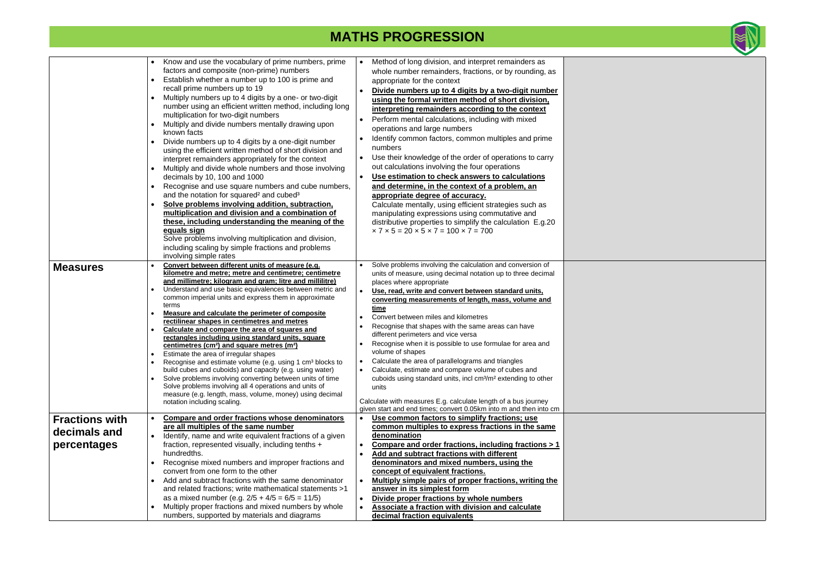|                                                      | Know and use the vocabulary of prime numbers, prime<br>factors and composite (non-prime) numbers<br>Establish whether a number up to 100 is prime and<br>recall prime numbers up to 19<br>Multiply numbers up to 4 digits by a one- or two-digit<br>number using an efficient written method, including long<br>multiplication for two-digit numbers<br>Multiply and divide numbers mentally drawing upon<br>known facts<br>Divide numbers up to 4 digits by a one-digit number<br>using the efficient written method of short division and<br>interpret remainders appropriately for the context<br>Multiply and divide whole numbers and those involving<br>decimals by 10, 100 and 1000<br>Recognise and use square numbers and cube numbers,<br>and the notation for squared <sup>2</sup> and cubed <sup>3</sup><br>Solve problems involving addition, subtraction,<br>multiplication and division and a combination of<br>these, including understanding the meaning of the<br>equals sign<br>Solve problems involving multiplication and division,<br>including scaling by simple fractions and problems<br>involving simple rates | Method of long division, and interpret remainders as<br>$\bullet$<br>whole number remainders, fractions, or by rounding, as<br>appropriate for the context<br>Divide numbers up to 4 digits by a two-digit number<br>$\bullet$<br>using the formal written method of short division,<br>interpreting remainders according to the context<br>Perform mental calculations, including with mixed<br>٠<br>operations and large numbers<br>Identify common factors, common multiples and prime<br>numbers<br>Use their knowledge of the order of operations to carry<br>$\bullet$<br>out calculations involving the four operations<br>Use estimation to check answers to calculations<br>$\bullet$<br>and determine, in the context of a problem, an<br>appropriate degree of accuracy.<br>Calculate mentally, using efficient strategies such as<br>manipulating expressions using commutative and<br>distributive properties to simplify the calculation E.g.20<br>$\times$ 7 $\times$ 5 = 20 $\times$ 5 $\times$ 7 = 100 $\times$ 7 = 700 |
|------------------------------------------------------|------------------------------------------------------------------------------------------------------------------------------------------------------------------------------------------------------------------------------------------------------------------------------------------------------------------------------------------------------------------------------------------------------------------------------------------------------------------------------------------------------------------------------------------------------------------------------------------------------------------------------------------------------------------------------------------------------------------------------------------------------------------------------------------------------------------------------------------------------------------------------------------------------------------------------------------------------------------------------------------------------------------------------------------------------------------------------------------------------------------------------------------|------------------------------------------------------------------------------------------------------------------------------------------------------------------------------------------------------------------------------------------------------------------------------------------------------------------------------------------------------------------------------------------------------------------------------------------------------------------------------------------------------------------------------------------------------------------------------------------------------------------------------------------------------------------------------------------------------------------------------------------------------------------------------------------------------------------------------------------------------------------------------------------------------------------------------------------------------------------------------------------------------------------------------------------|
| <b>Measures</b>                                      | Convert between different units of measure (e.g.<br>kilometre and metre; metre and centimetre; centimetre<br>and millimetre; kilogram and gram; litre and millilitre)<br>Understand and use basic equivalences between metric and<br>common imperial units and express them in approximate<br>terms<br>Measure and calculate the perimeter of composite<br>rectilinear shapes in centimetres and metres<br>Calculate and compare the area of squares and<br>rectangles including using standard units, square<br>centimetres (cm <sup>2</sup> ) and square metres (m <sup>2</sup> )<br>Estimate the area of irregular shapes<br>Recognise and estimate volume (e.g. using 1 cm <sup>3</sup> blocks to<br>build cubes and cuboids) and capacity (e.g. using water)<br>Solve problems involving converting between units of time<br>Solve problems involving all 4 operations and units of<br>measure (e.g. length, mass, volume, money) using decimal<br>notation including scaling.                                                                                                                                                      | Solve problems involving the calculation and conversion of<br>$\bullet$<br>units of measure, using decimal notation up to three decimal<br>places where appropriate<br>Use, read, write and convert between standard units,<br>converting measurements of length, mass, volume and<br>time<br>Convert between miles and kilometres<br>Recognise that shapes with the same areas can have<br>different perimeters and vice versa<br>Recognise when it is possible to use formulae for area and<br>volume of shapes<br>Calculate the area of parallelograms and triangles<br>$\bullet$<br>Calculate, estimate and compare volume of cubes and<br>$\bullet$<br>cuboids using standard units, incl cm <sup>3</sup> /m <sup>2</sup> extending to other<br>units<br>Calculate with measures E.g. calculate length of a bus journey<br>given start and end times; convert 0.05km into m and then into cm                                                                                                                                        |
| <b>Fractions with</b><br>decimals and<br>percentages | <b>Compare and order fractions whose denominators</b><br>are all multiples of the same number<br>Identify, name and write equivalent fractions of a given<br>fraction, represented visually, including tenths +<br>hundredths.<br>Recognise mixed numbers and improper fractions and<br>convert from one form to the other<br>Add and subtract fractions with the same denominator<br>and related fractions; write mathematical statements >1<br>as a mixed number (e.g. $2/5 + 4/5 = 6/5 = 11/5$ )<br>Multiply proper fractions and mixed numbers by whole<br>numbers, supported by materials and diagrams                                                                                                                                                                                                                                                                                                                                                                                                                                                                                                                              | Use common factors to simplify fractions; use<br>common multiples to express fractions in the same<br>denomination<br>Compare and order fractions, including fractions > 1<br>$\bullet$<br>Add and subtract fractions with different<br>$\bullet$<br>denominators and mixed numbers, using the<br>concept of equivalent fractions.<br>Multiply simple pairs of proper fractions, writing the<br>$\bullet$<br>answer in its simplest form<br>Divide proper fractions by whole numbers<br>$\bullet$<br>Associate a fraction with division and calculate<br>$\bullet$<br>decimal fraction equivalents                                                                                                                                                                                                                                                                                                                                                                                                                                       |



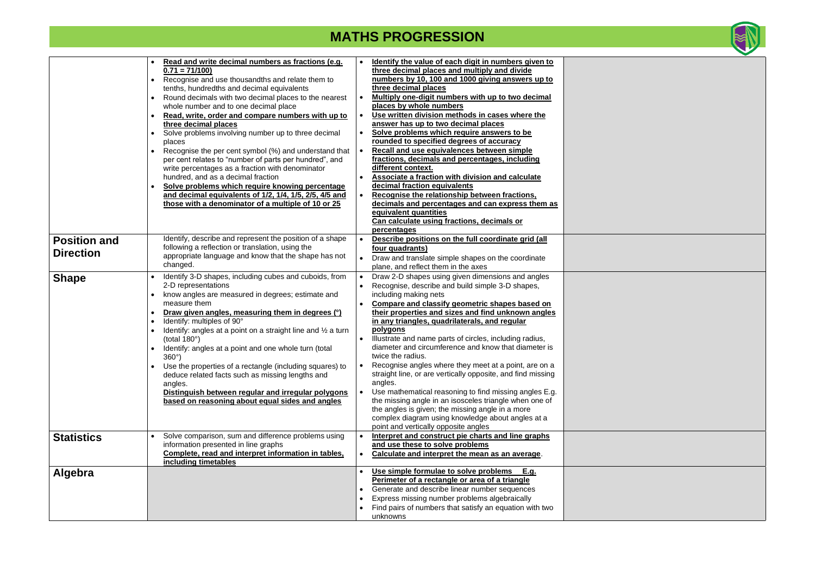|                     | Read and write decimal numbers as fractions (e.g.<br>$0.71 = 71/100$                                       | Identify the value of each digit in numbers given to<br>$\bullet$<br>three decimal places and multiply and divide     |
|---------------------|------------------------------------------------------------------------------------------------------------|-----------------------------------------------------------------------------------------------------------------------|
|                     | Recognise and use thousandths and relate them to<br>tenths, hundredths and decimal equivalents             | numbers by 10, 100 and 1000 giving answers up to<br>three decimal places                                              |
|                     | Round decimals with two decimal places to the nearest<br>whole number and to one decimal place             | Multiply one-digit numbers with up to two decimal<br>$\bullet$<br>places by whole numbers                             |
|                     | Read, write, order and compare numbers with up to<br>$\bullet$                                             | Use written division methods in cases where the<br>$\bullet$                                                          |
|                     | three decimal places<br>Solve problems involving number up to three decimal                                | answer has up to two decimal places<br>Solve problems which require answers to be<br>$\bullet$                        |
|                     | places                                                                                                     | rounded to specified degrees of accuracy                                                                              |
|                     | Recognise the per cent symbol (%) and understand that                                                      | Recall and use equivalences between simple<br>$\bullet$<br>fractions, decimals and percentages, including             |
|                     | per cent relates to "number of parts per hundred", and<br>write percentages as a fraction with denominator | different context.                                                                                                    |
|                     | hundred, and as a decimal fraction                                                                         | <b>Associate a fraction with division and calculate</b><br>$\bullet$                                                  |
|                     | Solve problems which require knowing percentage                                                            | decimal fraction equivalents                                                                                          |
|                     | and decimal equivalents of 1/2, 1/4, 1/5, 2/5, 4/5 and                                                     | Recognise the relationship between fractions,<br>$\bullet$                                                            |
|                     | those with a denominator of a multiple of 10 or 25                                                         | decimals and percentages and can express them as                                                                      |
|                     |                                                                                                            | equivalent quantities                                                                                                 |
|                     |                                                                                                            | Can calculate using fractions, decimals or                                                                            |
|                     | Identify, describe and represent the position of a shape                                                   | percentages<br>Describe positions on the full coordinate grid (all<br>$\bullet$                                       |
| <b>Position and</b> | following a reflection or translation, using the                                                           | four quadrants)                                                                                                       |
| <b>Direction</b>    | appropriate language and know that the shape has not                                                       | Draw and translate simple shapes on the coordinate<br>$\bullet$                                                       |
|                     | changed.                                                                                                   | plane, and reflect them in the axes                                                                                   |
| <b>Shape</b>        | Identify 3-D shapes, including cubes and cuboids, from                                                     | Draw 2-D shapes using given dimensions and angles<br>$\bullet$                                                        |
|                     | 2-D representations                                                                                        | Recognise, describe and build simple 3-D shapes,<br>$\bullet$                                                         |
|                     | know angles are measured in degrees; estimate and                                                          | including making nets                                                                                                 |
|                     | measure them                                                                                               | Compare and classify geometric shapes based on<br>$\bullet$                                                           |
|                     | Draw given angles, measuring them in degrees (°)<br>$\bullet$                                              | their properties and sizes and find unknown angles                                                                    |
|                     | Identify: multiples of 90°<br>$\bullet$                                                                    | in any triangles, quadrilaterals, and regular<br>polygons                                                             |
|                     | Identify: angles at a point on a straight line and $\frac{1}{2}$ a turn<br>(total $180^\circ$ )            | Illustrate and name parts of circles, including radius,                                                               |
|                     | Identify: angles at a point and one whole turn (total                                                      | diameter and circumference and know that diameter is                                                                  |
|                     | $360^\circ$ )                                                                                              | twice the radius.                                                                                                     |
|                     | Use the properties of a rectangle (including squares) to                                                   | Recognise angles where they meet at a point, are on a                                                                 |
|                     | deduce related facts such as missing lengths and                                                           | straight line, or are vertically opposite, and find missing                                                           |
|                     | angles.                                                                                                    | angles.                                                                                                               |
|                     | Distinguish between regular and irregular polygons                                                         | Use mathematical reasoning to find missing angles E.g.<br>$\bullet$                                                   |
|                     | based on reasoning about equal sides and angles                                                            | the missing angle in an isosceles triangle when one of<br>the angles is given; the missing angle in a more            |
|                     |                                                                                                            | complex diagram using knowledge about angles at a                                                                     |
|                     |                                                                                                            | point and vertically opposite angles                                                                                  |
| <b>Statistics</b>   | Solve comparison, sum and difference problems using                                                        | Interpret and construct pie charts and line graphs<br>$\bullet$                                                       |
|                     | information presented in line graphs                                                                       | and use these to solve problems                                                                                       |
|                     | Complete, read and interpret information in tables,                                                        | Calculate and interpret the mean as an average.<br>$\bullet$                                                          |
|                     | including timetables                                                                                       |                                                                                                                       |
| Algebra             |                                                                                                            | Use simple formulae to solve problems<br>E.g.<br>$\bullet$                                                            |
|                     |                                                                                                            | Perimeter of a rectangle or area of a triangle<br>Generate and describe linear number sequences                       |
|                     |                                                                                                            |                                                                                                                       |
|                     |                                                                                                            | $\bullet$                                                                                                             |
|                     |                                                                                                            | Express missing number problems algebraically<br>Find pairs of numbers that satisfy an equation with two<br>$\bullet$ |



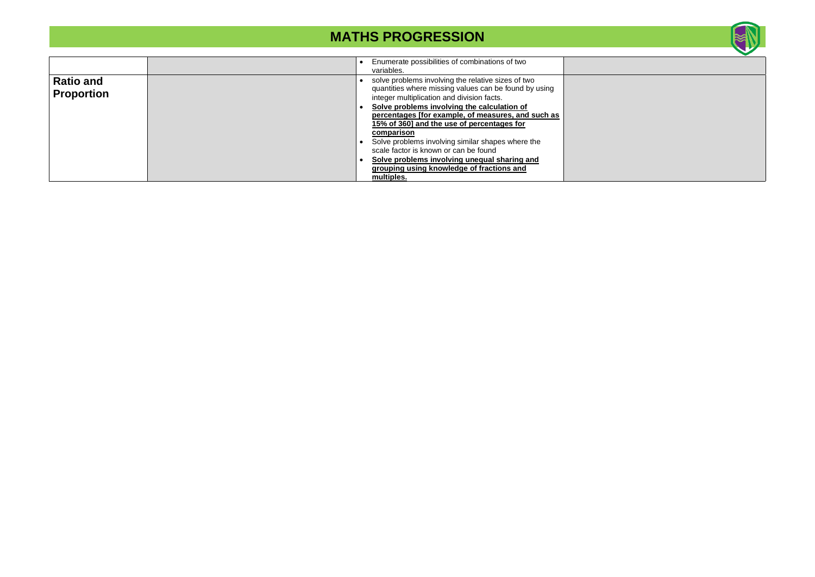|                                       | Enumerate possibilities of combinations of two<br>variables.                                                                                                                                             |
|---------------------------------------|----------------------------------------------------------------------------------------------------------------------------------------------------------------------------------------------------------|
| <b>Ratio and</b><br><b>Proportion</b> | solve problems involving the relative sizes of two<br>quantities where missing values can be found by using<br>integer multiplication and division facts.<br>Solve problems involving the calculation of |
|                                       | percentages [for example, of measures, and such as<br>15% of 360] and the use of percentages for<br>comparison                                                                                           |
|                                       | Solve problems involving similar shapes where the<br>scale factor is known or can be found<br>Solve problems involving unequal sharing and<br>grouping using knowledge of fractions and<br>multiples.    |